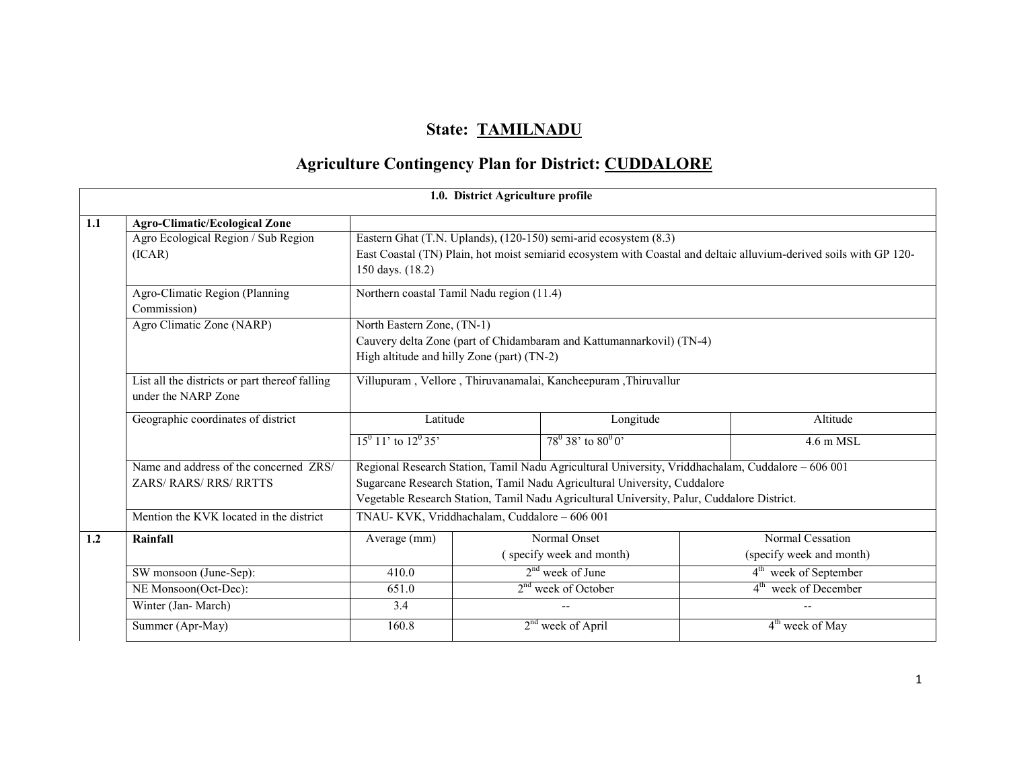# State: TAMILNADU

# Agriculture Contingency Plan for District: CUDDALORE

|     | 1.0. District Agriculture profile                                     |                                                                |                                                                                                   |                                                                                                                    |  |  |  |  |
|-----|-----------------------------------------------------------------------|----------------------------------------------------------------|---------------------------------------------------------------------------------------------------|--------------------------------------------------------------------------------------------------------------------|--|--|--|--|
| 1.1 | <b>Agro-Climatic/Ecological Zone</b>                                  |                                                                |                                                                                                   |                                                                                                                    |  |  |  |  |
|     | Agro Ecological Region / Sub Region                                   |                                                                | Eastern Ghat (T.N. Uplands), (120-150) semi-arid ecosystem (8.3)                                  |                                                                                                                    |  |  |  |  |
|     | (ICAR)                                                                |                                                                |                                                                                                   | East Coastal (TN) Plain, hot moist semiarid ecosystem with Coastal and deltaic alluvium-derived soils with GP 120- |  |  |  |  |
|     |                                                                       | 150 days. (18.2)                                               |                                                                                                   |                                                                                                                    |  |  |  |  |
|     | Agro-Climatic Region (Planning                                        |                                                                | Northern coastal Tamil Nadu region (11.4)                                                         |                                                                                                                    |  |  |  |  |
|     | Commission)                                                           |                                                                |                                                                                                   |                                                                                                                    |  |  |  |  |
|     | Agro Climatic Zone (NARP)                                             |                                                                | North Eastern Zone, (TN-1)                                                                        |                                                                                                                    |  |  |  |  |
|     |                                                                       |                                                                | Cauvery delta Zone (part of Chidambaram and Kattumannarkovil) (TN-4)                              |                                                                                                                    |  |  |  |  |
|     |                                                                       |                                                                | High altitude and hilly Zone (part) (TN-2)                                                        |                                                                                                                    |  |  |  |  |
|     | List all the districts or part thereof falling<br>under the NARP Zone | Villupuram, Vellore, Thiruvanamalai, Kancheepuram, Thiruvallur |                                                                                                   |                                                                                                                    |  |  |  |  |
|     | Geographic coordinates of district                                    | Latitude                                                       | Longitude                                                                                         | Altitude                                                                                                           |  |  |  |  |
|     |                                                                       | $15^0$ 11' to $12^0$ 35'                                       | $78^0$ 38' to $80^0$ 0'                                                                           | $4.6$ m MSL                                                                                                        |  |  |  |  |
|     | Name and address of the concerned ZRS/                                |                                                                | Regional Research Station, Tamil Nadu Agricultural University, Vriddhachalam, Cuddalore - 606 001 |                                                                                                                    |  |  |  |  |
|     | <b>ZARS/ RARS/ RRS/ RRTTS</b>                                         |                                                                | Sugarcane Research Station, Tamil Nadu Agricultural University, Cuddalore                         |                                                                                                                    |  |  |  |  |
|     |                                                                       |                                                                | Vegetable Research Station, Tamil Nadu Agricultural University, Palur, Cuddalore District.        |                                                                                                                    |  |  |  |  |
|     | Mention the KVK located in the district                               |                                                                | TNAU-KVK, Vriddhachalam, Cuddalore - 606 001                                                      |                                                                                                                    |  |  |  |  |
| 1.2 | Rainfall                                                              | Average (mm)                                                   | Normal Onset                                                                                      | Normal Cessation                                                                                                   |  |  |  |  |
|     |                                                                       |                                                                | (specify week and month)                                                                          | (specify week and month)                                                                                           |  |  |  |  |
|     | SW monsoon (June-Sep):                                                | 410.0                                                          | $2nd$ week of June                                                                                | 4 <sup>th</sup> week of September                                                                                  |  |  |  |  |
|     | NE Monsoon(Oct-Dec):                                                  | 651.0                                                          | 2 <sup>nd</sup> week of October                                                                   | 4 <sup>th</sup> week of December                                                                                   |  |  |  |  |
|     | Winter (Jan-March)                                                    | 3.4                                                            |                                                                                                   |                                                                                                                    |  |  |  |  |
|     | Summer (Apr-May)                                                      | 160.8                                                          | $2nd$ week of April                                                                               | $4th$ week of May                                                                                                  |  |  |  |  |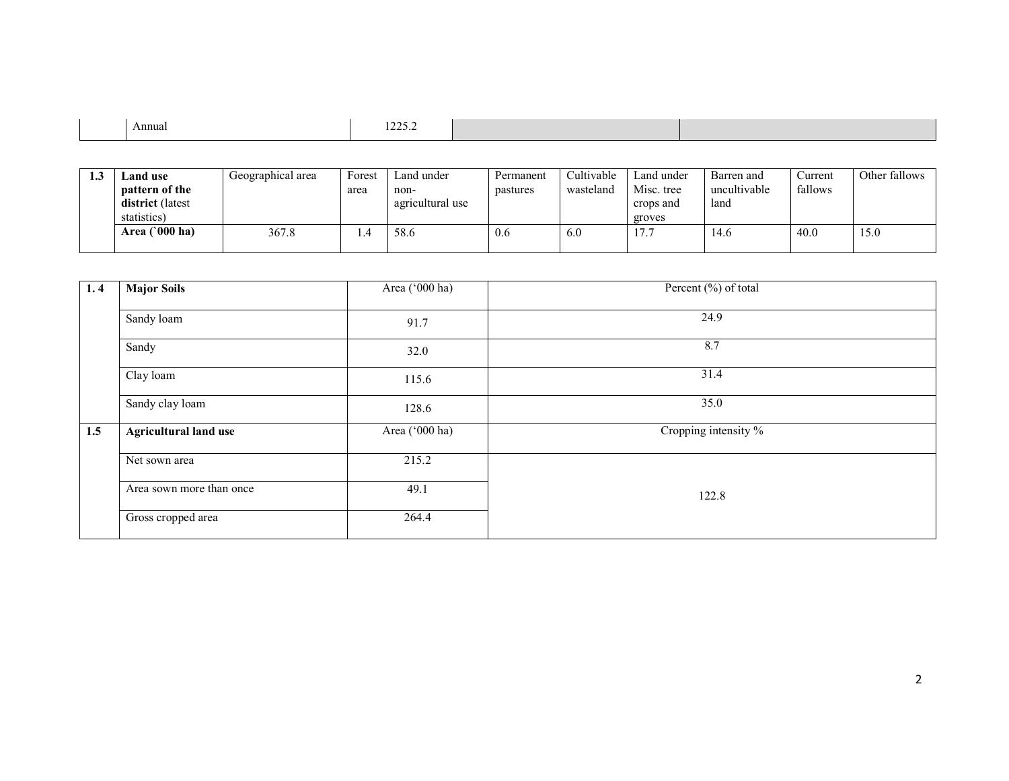| Annual<br>1440.4 |
|------------------|
|------------------|

| لي 1 | Land use                | Geographical area | Forest | Land under       | Permanent | Cultivable | Land under | Barren and   | Current | Other fallows |
|------|-------------------------|-------------------|--------|------------------|-----------|------------|------------|--------------|---------|---------------|
|      | pattern of the          |                   | area   | non-             | pastures  | wasteland  | Misc. tree | uncultivable | fallows |               |
|      | district (latest        |                   |        | agricultural use |           |            | crops and  | land         |         |               |
|      | statistics)             |                   |        |                  |           |            | groves     |              |         |               |
|      | Area $(000 \text{ ha})$ | 367.8             | . .4   | 58.6             | 0.6       | 6.0        |            | 14.6         | 40.0    | 15.0          |
|      |                         |                   |        |                  |           |            |            |              |         |               |

| 1.4 | <b>Major Soils</b>           | Area ('000 ha) | Percent (%) of total |
|-----|------------------------------|----------------|----------------------|
|     | Sandy loam                   | 91.7           | 24.9                 |
|     | Sandy                        | 32.0           | 8.7                  |
|     | Clay loam                    | 115.6          | 31.4                 |
|     | Sandy clay loam              | 128.6          | 35.0                 |
| 1.5 | <b>Agricultural land use</b> | Area ('000 ha) | Cropping intensity % |
|     | Net sown area                | 215.2          |                      |
|     | Area sown more than once     | 49.1           | 122.8                |
|     | Gross cropped area           | 264.4          |                      |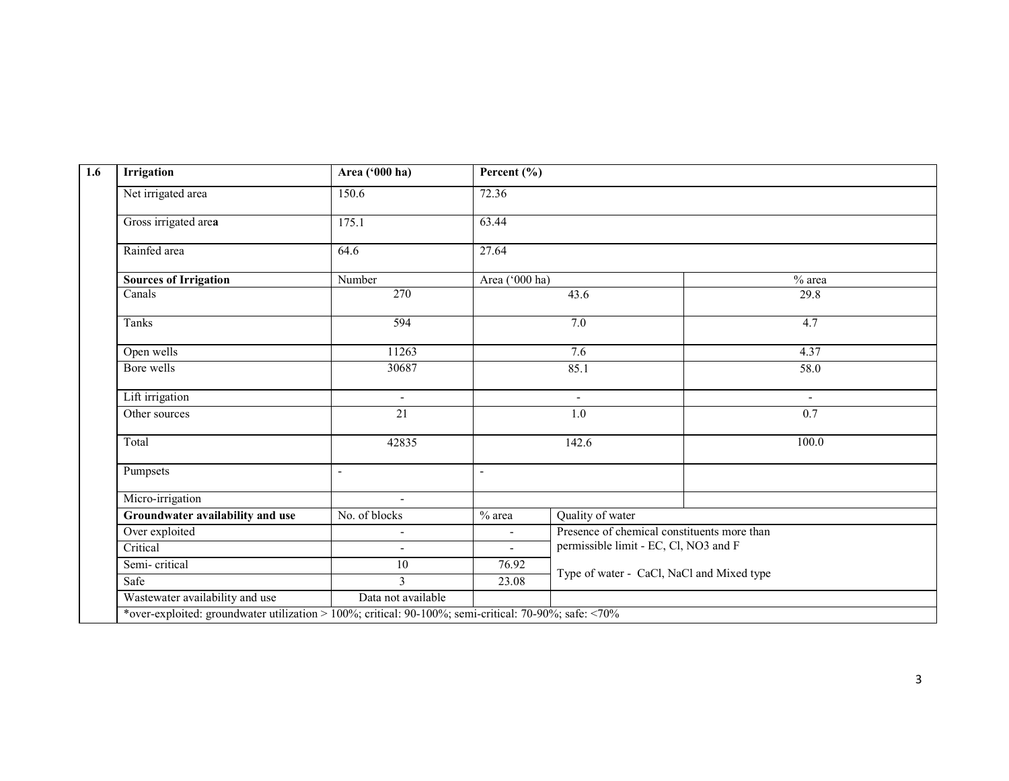| Irrigation                                                                                            | Area ('000 ha)           | Percent $(\% )$          |                                             |               |
|-------------------------------------------------------------------------------------------------------|--------------------------|--------------------------|---------------------------------------------|---------------|
| Net irrigated area                                                                                    | 150.6                    | 72.36                    |                                             |               |
| Gross irrigated area                                                                                  | 175.1                    | 63.44                    |                                             |               |
| Rainfed area                                                                                          | 64.6                     | 27.64                    |                                             |               |
| <b>Sources of Irrigation</b>                                                                          | Number                   | Area ('000 ha)           |                                             | $%$ area      |
| Canals                                                                                                | $\overline{270}$         |                          | 43.6                                        | 29.8          |
| Tanks                                                                                                 | 594                      |                          | 7.0                                         | 4.7           |
| Open wells                                                                                            | 11263                    |                          | 7.6                                         | 4.37          |
| Bore wells                                                                                            | 30687                    |                          | 85.1                                        | 58.0          |
| Lift irrigation                                                                                       | $\Delta$                 |                          | $\sim$                                      | $\sim$<br>0.7 |
| Other sources                                                                                         | 21                       |                          | 1.0                                         |               |
| Total                                                                                                 | 42835                    |                          | 142.6                                       | 100.0         |
| Pumpsets                                                                                              | $\blacksquare$           | $\blacksquare$           |                                             |               |
| Micro-irrigation                                                                                      | $\overline{\phantom{a}}$ |                          |                                             |               |
| Groundwater availability and use                                                                      | No. of blocks            | $%$ area                 | Quality of water                            |               |
| Over exploited                                                                                        | $\overline{\phantom{a}}$ | $\overline{\phantom{a}}$ | Presence of chemical constituents more than |               |
| Critical                                                                                              | $\blacksquare$           | $\sim$                   | permissible limit - EC, Cl, NO3 and F       |               |
| Semi-critical                                                                                         | $\overline{10}$          | 76.92                    |                                             |               |
| Safe                                                                                                  | $\overline{3}$           | 23.08                    | Type of water - CaCl, NaCl and Mixed type   |               |
| Wastewater availability and use                                                                       | Data not available       |                          |                                             |               |
| *over-exploited: groundwater utilization > 100%; critical: 90-100%; semi-critical: 70-90%; safe: <70% |                          |                          |                                             |               |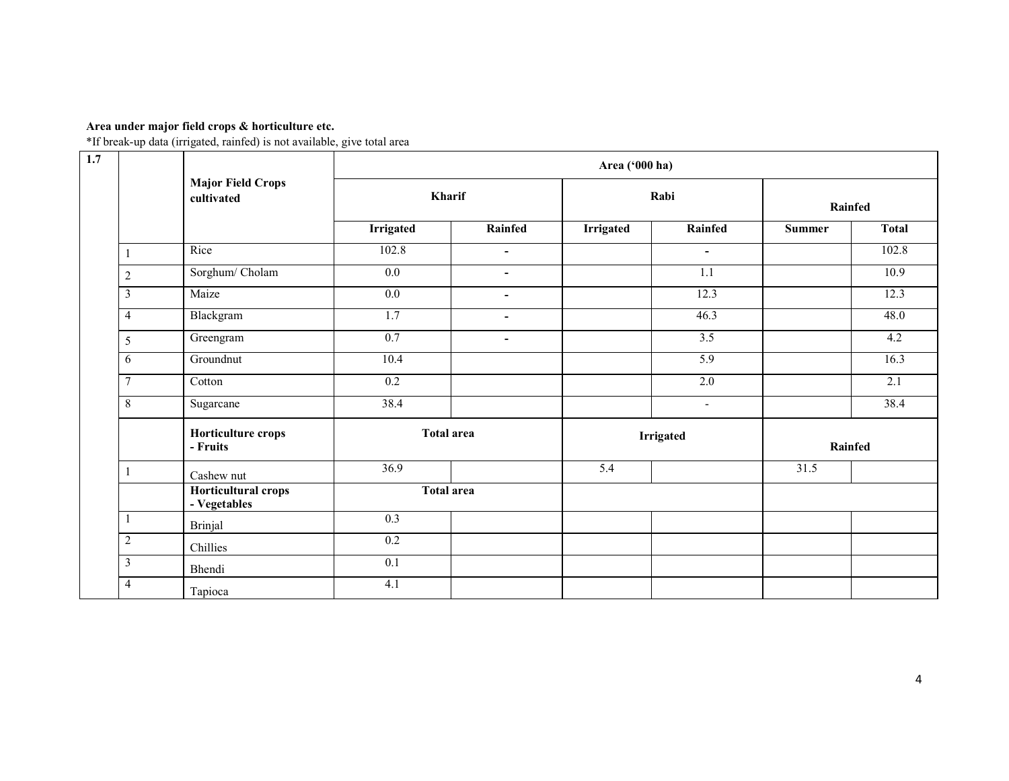# Area under major field crops & horticulture etc.

\*If break-up data (irrigated, rainfed) is not available, give total area

| 1.7 |                         |                                        |                   |                          | Area ('000 ha) |                          |               |                  |  |
|-----|-------------------------|----------------------------------------|-------------------|--------------------------|----------------|--------------------------|---------------|------------------|--|
|     |                         | <b>Major Field Crops</b><br>cultivated | Kharif            |                          |                | Rabi                     |               | Rainfed          |  |
|     |                         |                                        | <b>Irrigated</b>  | <b>Rainfed</b>           | Irrigated      | Rainfed                  | <b>Summer</b> | <b>Total</b>     |  |
|     |                         | Rice                                   | 102.8             | $\blacksquare$           |                | $\blacksquare$           |               | 102.8            |  |
|     | $\sqrt{2}$              | Sorghum/Cholam                         | $0.0\,$           | $\blacksquare$           |                | 1.1                      |               | 10.9             |  |
|     | $\overline{\mathbf{3}}$ | Maize                                  | 0.0               | $\overline{\phantom{a}}$ |                | 12.3                     |               | 12.3             |  |
|     | $\overline{4}$          | Blackgram                              | $\overline{1.7}$  | $\blacksquare$           |                | 46.3                     |               | 48.0             |  |
|     | $\sqrt{5}$              | Greengram                              | 0.7               | $\blacksquare$           |                | $\overline{3.5}$         |               | 4.2              |  |
|     | 6                       | Groundnut                              | 10.4              |                          |                | 5.9                      |               | 16.3             |  |
|     | $\overline{7}$          | Cotton                                 | 0.2               |                          |                | 2.0                      |               | $\overline{2.1}$ |  |
|     | $\,8\,$                 | Sugarcane                              | 38.4              |                          |                | $\overline{\phantom{a}}$ |               | 38.4             |  |
|     |                         | Horticulture crops<br>- Fruits         | <b>Total area</b> |                          |                | <b>Irrigated</b>         |               | Rainfed          |  |
|     |                         | Cashew nut                             | 36.9              |                          | 5.4            |                          | 31.5          |                  |  |
|     |                         | Horticultural crops<br>- Vegetables    | <b>Total area</b> |                          |                |                          |               |                  |  |
|     |                         | <b>Brinjal</b>                         | 0.3               |                          |                |                          |               |                  |  |
|     | $\sqrt{2}$              | Chillies                               | $\overline{0.2}$  |                          |                |                          |               |                  |  |
|     | $\mathfrak{Z}$          | Bhendi                                 | $\overline{0.1}$  |                          |                |                          |               |                  |  |
|     | $\overline{4}$          | Tapioca                                | 4.1               |                          |                |                          |               |                  |  |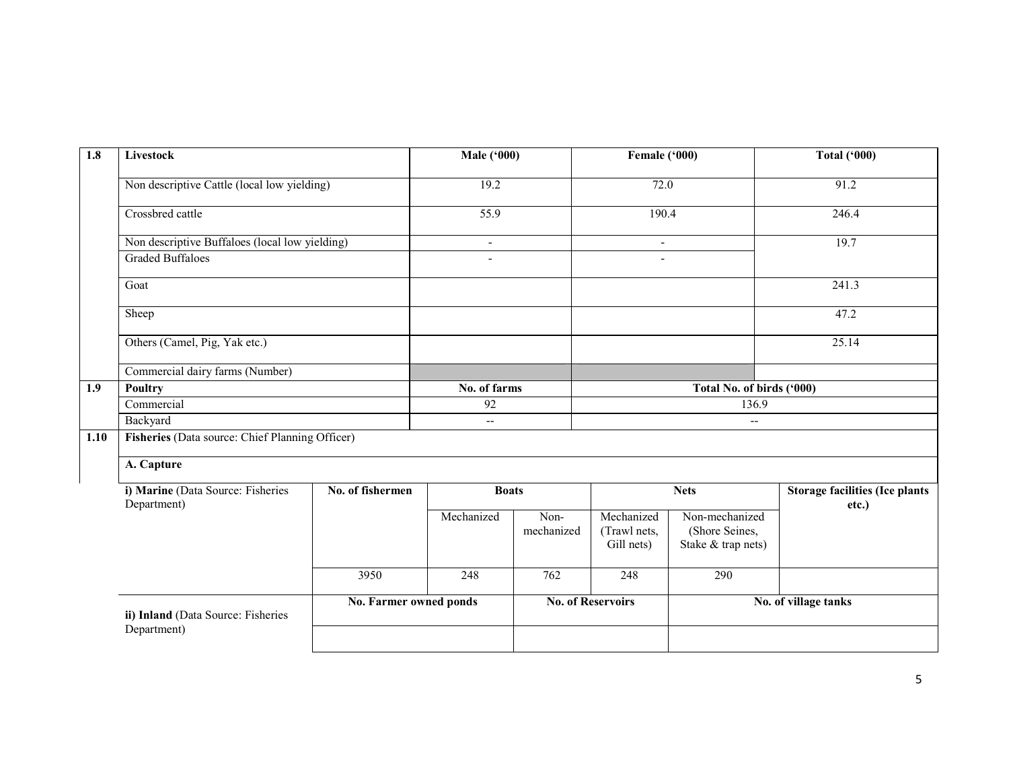| 1.8  | Livestock                                        |                        | <b>Male ('000)</b> |                    | Female ('000)                            |                                                        | <b>Total ('000)</b>                            |  |
|------|--------------------------------------------------|------------------------|--------------------|--------------------|------------------------------------------|--------------------------------------------------------|------------------------------------------------|--|
|      | Non descriptive Cattle (local low yielding)      |                        | 19.2               |                    | 72.0                                     |                                                        | 91.2                                           |  |
|      | Crossbred cattle                                 |                        | 55.9               |                    | 190.4                                    |                                                        | 246.4                                          |  |
|      | Non descriptive Buffaloes (local low yielding)   |                        | $\blacksquare$     |                    | $\overline{\phantom{a}}$                 |                                                        | 19.7                                           |  |
|      | <b>Graded Buffaloes</b>                          |                        |                    |                    |                                          |                                                        |                                                |  |
|      | Goat                                             |                        |                    |                    |                                          |                                                        | 241.3                                          |  |
|      | Sheep                                            |                        |                    |                    |                                          |                                                        | 47.2                                           |  |
|      | Others (Camel, Pig, Yak etc.)                    |                        |                    |                    |                                          |                                                        | 25.14                                          |  |
|      | Commercial dairy farms (Number)                  |                        |                    |                    |                                          |                                                        |                                                |  |
| 1.9  | <b>Poultry</b>                                   | No. of farms           |                    |                    | Total No. of birds ('000)                |                                                        |                                                |  |
|      | Commercial                                       |                        | 92                 |                    | 136.9                                    |                                                        |                                                |  |
|      | Backyard                                         |                        | $-$                |                    |                                          | $\overline{\phantom{a}}$                               |                                                |  |
| 1.10 | Fisheries (Data source: Chief Planning Officer)  |                        |                    |                    |                                          |                                                        |                                                |  |
|      | A. Capture                                       |                        |                    |                    |                                          |                                                        |                                                |  |
|      | i) Marine (Data Source: Fisheries<br>Department) | No. of fishermen       | <b>Boats</b>       |                    |                                          | <b>Nets</b>                                            | <b>Storage facilities (Ice plants</b><br>etc.) |  |
|      |                                                  |                        | Mechanized         | Non-<br>mechanized | Mechanized<br>(Trawl nets,<br>Gill nets) | Non-mechanized<br>(Shore Seines,<br>Stake & trap nets) |                                                |  |
|      |                                                  | 3950                   | 248                | 762                | 248                                      | 290                                                    |                                                |  |
|      | ii) Inland (Data Source: Fisheries               | No. Farmer owned ponds |                    |                    | <b>No. of Reservoirs</b>                 |                                                        | No. of village tanks                           |  |
|      | Department)                                      |                        |                    |                    |                                          |                                                        |                                                |  |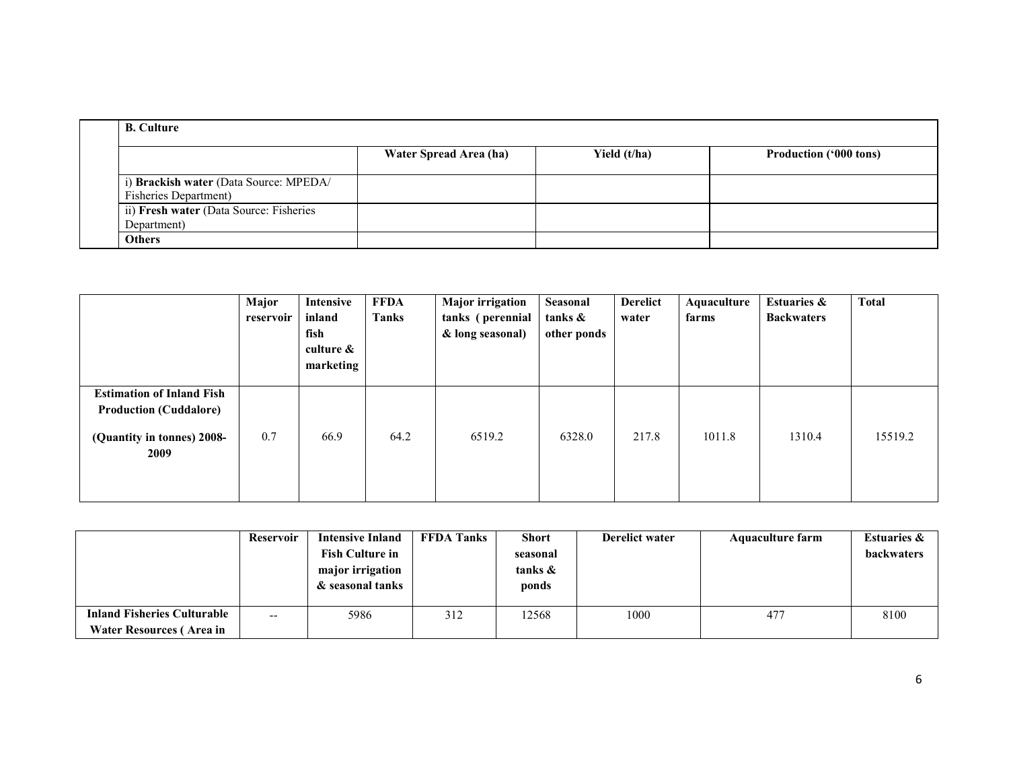| <b>B.</b> Culture                                                       |                        |              |                               |  |  |  |  |  |  |  |
|-------------------------------------------------------------------------|------------------------|--------------|-------------------------------|--|--|--|--|--|--|--|
|                                                                         | Water Spread Area (ha) | Yield (t/ha) | <b>Production ('000 tons)</b> |  |  |  |  |  |  |  |
| i) Brackish water (Data Source: MPEDA/<br><b>Fisheries Department</b> ) |                        |              |                               |  |  |  |  |  |  |  |
| ii) Fresh water (Data Source: Fisheries<br>Department)                  |                        |              |                               |  |  |  |  |  |  |  |
| <b>Others</b>                                                           |                        |              |                               |  |  |  |  |  |  |  |

|                                                                                                         | Major<br>reservoir | <b>Intensive</b><br>inland<br>fish<br>culture $\&$<br>marketing | <b>FFDA</b><br><b>Tanks</b> | <b>Major</b> irrigation<br>tanks (perennial<br>& long seasonal) | Seasonal<br>tanks &<br>other ponds | <b>Derelict</b><br>water | Aquaculture<br>farms | <b>Estuaries &amp;</b><br><b>Backwaters</b> | <b>Total</b> |
|---------------------------------------------------------------------------------------------------------|--------------------|-----------------------------------------------------------------|-----------------------------|-----------------------------------------------------------------|------------------------------------|--------------------------|----------------------|---------------------------------------------|--------------|
| <b>Estimation of Inland Fish</b><br><b>Production (Cuddalore)</b><br>(Quantity in tonnes) 2008-<br>2009 | 0.7                | 66.9                                                            | 64.2                        | 6519.2                                                          | 6328.0                             | 217.8                    | 1011.8               | 1310.4                                      | 15519.2      |

|                                    | <b>Reservoir</b> | <b>Intensive Inland</b> | <b>FFDA Tanks</b> | <b>Short</b> | <b>Derelict water</b> | <b>Aquaculture farm</b> | <b>Estuaries &amp;</b> |
|------------------------------------|------------------|-------------------------|-------------------|--------------|-----------------------|-------------------------|------------------------|
|                                    |                  | <b>Fish Culture in</b>  |                   | seasonal     |                       |                         | <b>backwaters</b>      |
|                                    |                  | major irrigation        |                   | tanks &      |                       |                         |                        |
|                                    |                  | & seasonal tanks        |                   | ponds        |                       |                         |                        |
|                                    |                  |                         |                   |              |                       |                         |                        |
| <b>Inland Fisheries Culturable</b> | $- -$            | 5986                    | 312               | 12568        | 1000                  | 477                     | 8100                   |
| Water Resources (Area in           |                  |                         |                   |              |                       |                         |                        |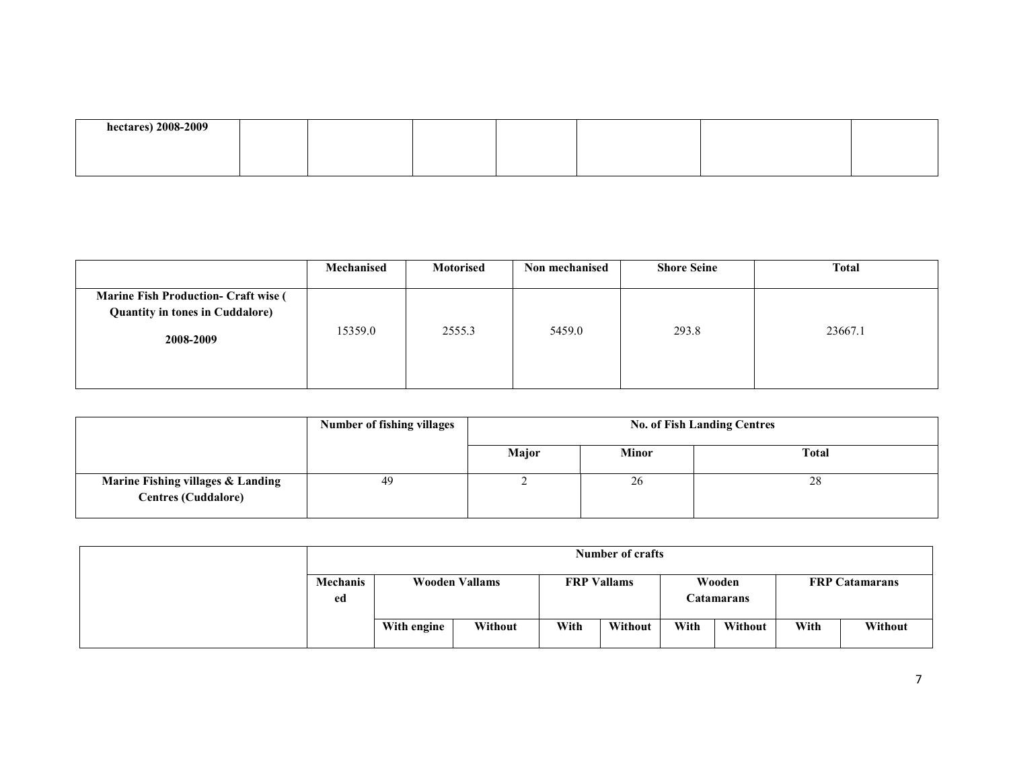| hectares) 2008-2009 |  |  |  |  |
|---------------------|--|--|--|--|
|                     |  |  |  |  |
|                     |  |  |  |  |

|                                                                                       | Mechanised | Motorised | Non mechanised | <b>Shore Seine</b> | <b>Total</b> |
|---------------------------------------------------------------------------------------|------------|-----------|----------------|--------------------|--------------|
| <b>Marine Fish Production- Craft wise (</b><br><b>Quantity in tones in Cuddalore)</b> |            |           |                |                    |              |
| 2008-2009                                                                             | 15359.0    | 2555.3    | 5459.0         | 293.8              | 23667.1      |
|                                                                                       |            |           |                |                    |              |

|                                                                 | <b>Number of fishing villages</b> | <b>No. of Fish Landing Centres</b> |              |              |  |  |
|-----------------------------------------------------------------|-----------------------------------|------------------------------------|--------------|--------------|--|--|
|                                                                 |                                   | Major                              | <b>Minor</b> | <b>Total</b> |  |  |
| Marine Fishing villages & Landing<br><b>Centres (Cuddalore)</b> | 49                                |                                    | 26           | 28           |  |  |

|                       | Number of crafts      |         |      |                                            |      |                       |      |         |
|-----------------------|-----------------------|---------|------|--------------------------------------------|------|-----------------------|------|---------|
| <b>Mechanis</b><br>ed | <b>Wooden Vallams</b> |         |      | <b>FRP</b> Vallams<br>Wooden<br>Catamarans |      | <b>FRP Catamarans</b> |      |         |
|                       | With engine           | Without | With | Without                                    | With | Without               | With | Without |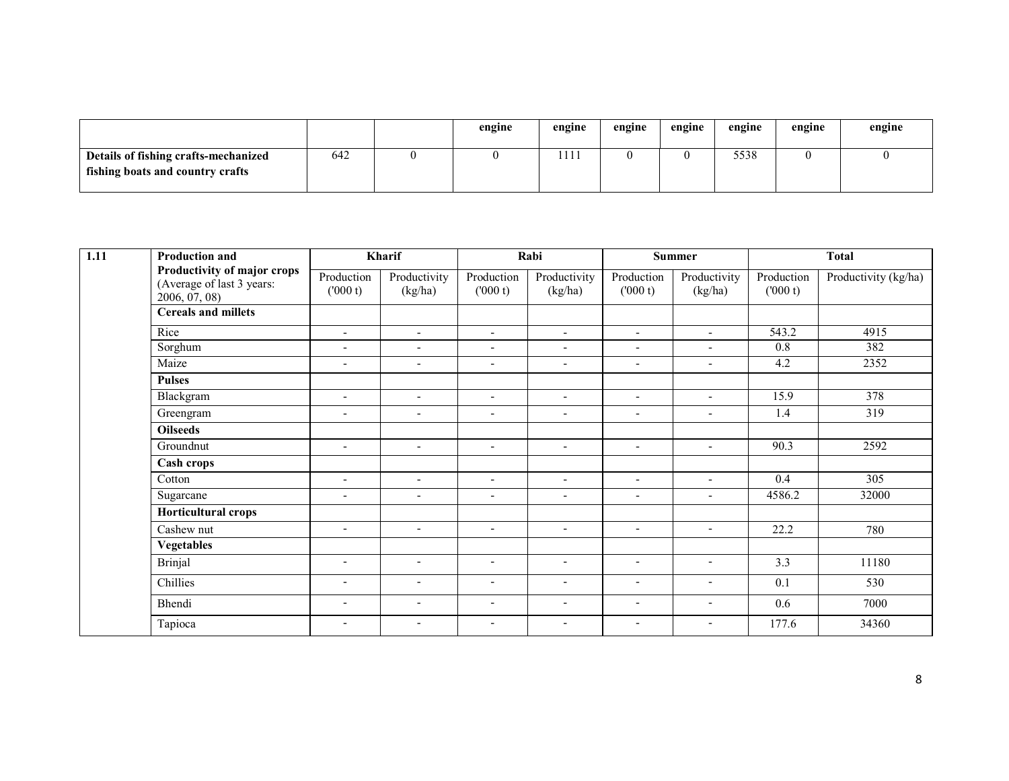|                                                                          |     | engine | engine       | engine | engine | engine | engine | engine |
|--------------------------------------------------------------------------|-----|--------|--------------|--------|--------|--------|--------|--------|
| Details of fishing crafts-mechanized<br>fishing boats and country crafts | 642 |        | 111<br>111 L |        |        | 5538   |        |        |

| 1.11 | <b>Production and</b>                                                     |                          | Kharif                   |                          | Rabi                     | <b>Summer</b>            |                          | <b>Total</b>          |                      |
|------|---------------------------------------------------------------------------|--------------------------|--------------------------|--------------------------|--------------------------|--------------------------|--------------------------|-----------------------|----------------------|
|      | Productivity of major crops<br>(Average of last 3 years:<br>2006, 07, 08) | Production<br>(1000 t)   | Productivity<br>(kg/ha)  | Production<br>(000 t)    | Productivity<br>(kg/ha)  | Production<br>(000 t)    | Productivity<br>(kg/ha)  | Production<br>(000 t) | Productivity (kg/ha) |
|      | <b>Cereals and millets</b>                                                |                          |                          |                          |                          |                          |                          |                       |                      |
|      | Rice                                                                      | $\overline{\phantom{a}}$ | $\sim$                   | $\blacksquare$           | $\blacksquare$           | $\sim$                   | $\sim$                   | 543.2                 | 4915                 |
|      | Sorghum                                                                   | $\blacksquare$           | $\blacksquare$           | $\blacksquare$           | $\overline{\phantom{a}}$ | $\sim$                   | $\blacksquare$           | 0.8                   | 382                  |
|      | Maize                                                                     | $\overline{\phantom{a}}$ | $\overline{\phantom{a}}$ | $\overline{\phantom{a}}$ | $\overline{\phantom{a}}$ | $\blacksquare$           | $\blacksquare$           | 4.2                   | 2352                 |
|      | <b>Pulses</b>                                                             |                          |                          |                          |                          |                          |                          |                       |                      |
|      | Blackgram                                                                 | $\blacksquare$           | $\overline{\phantom{a}}$ | $\overline{\phantom{a}}$ | $\overline{\phantom{a}}$ | $\blacksquare$           | $\overline{\phantom{a}}$ | 15.9                  | 378                  |
|      | Greengram                                                                 | $\blacksquare$           | $\overline{\phantom{a}}$ | $\overline{\phantom{a}}$ | $\blacksquare$           | $\blacksquare$           | $\blacksquare$           | 1.4                   | 319                  |
|      | <b>Oilseeds</b>                                                           |                          |                          |                          |                          |                          |                          |                       |                      |
|      | Groundnut                                                                 | $\overline{\phantom{a}}$ | $\overline{\phantom{a}}$ | $\overline{\phantom{a}}$ | $\overline{\phantom{a}}$ | $\overline{\phantom{a}}$ | $\blacksquare$           | 90.3                  | 2592                 |
|      | Cash crops                                                                |                          |                          |                          |                          |                          |                          |                       |                      |
|      | Cotton                                                                    | $\overline{\phantom{a}}$ | $\blacksquare$           | $\overline{\phantom{a}}$ | $\blacksquare$           | $\overline{\phantom{a}}$ | $\blacksquare$           | 0.4                   | 305                  |
|      | Sugarcane                                                                 | $\blacksquare$           | $\overline{\phantom{a}}$ | $\overline{\phantom{a}}$ | $\overline{\phantom{a}}$ | $\overline{\phantom{a}}$ | $\blacksquare$           | 4586.2                | 32000                |
|      | Horticultural crops                                                       |                          |                          |                          |                          |                          |                          |                       |                      |
|      | Cashew nut                                                                | $\overline{\phantom{a}}$ | $\overline{\phantom{a}}$ | $\overline{\phantom{a}}$ | $\overline{\phantom{a}}$ | $\sim$                   | $\blacksquare$           | 22.2                  | 780                  |
|      | <b>Vegetables</b>                                                         |                          |                          |                          |                          |                          |                          |                       |                      |
|      | <b>Brinjal</b>                                                            | $\overline{\phantom{a}}$ | $\overline{\phantom{a}}$ | $\overline{\phantom{a}}$ | $\overline{\phantom{a}}$ | $\overline{\phantom{a}}$ | $\overline{\phantom{a}}$ | 3.3                   | 11180                |
|      | Chillies                                                                  | $\overline{\phantom{a}}$ | $\overline{\phantom{a}}$ | $\overline{\phantom{a}}$ | $\blacksquare$           | $\overline{\phantom{a}}$ | $\overline{\phantom{a}}$ | 0.1                   | 530                  |
|      | Bhendi                                                                    | $\overline{\phantom{a}}$ | $\overline{\phantom{a}}$ | $\overline{\phantom{a}}$ | $\overline{\phantom{a}}$ | $\overline{\phantom{a}}$ | $\overline{\phantom{a}}$ | 0.6                   | 7000                 |
|      | Tapioca                                                                   | $\overline{\phantom{a}}$ | $\overline{\phantom{a}}$ | $\overline{\phantom{a}}$ | $\overline{\phantom{a}}$ | $\overline{\phantom{a}}$ | $\overline{\phantom{a}}$ | 177.6                 | 34360                |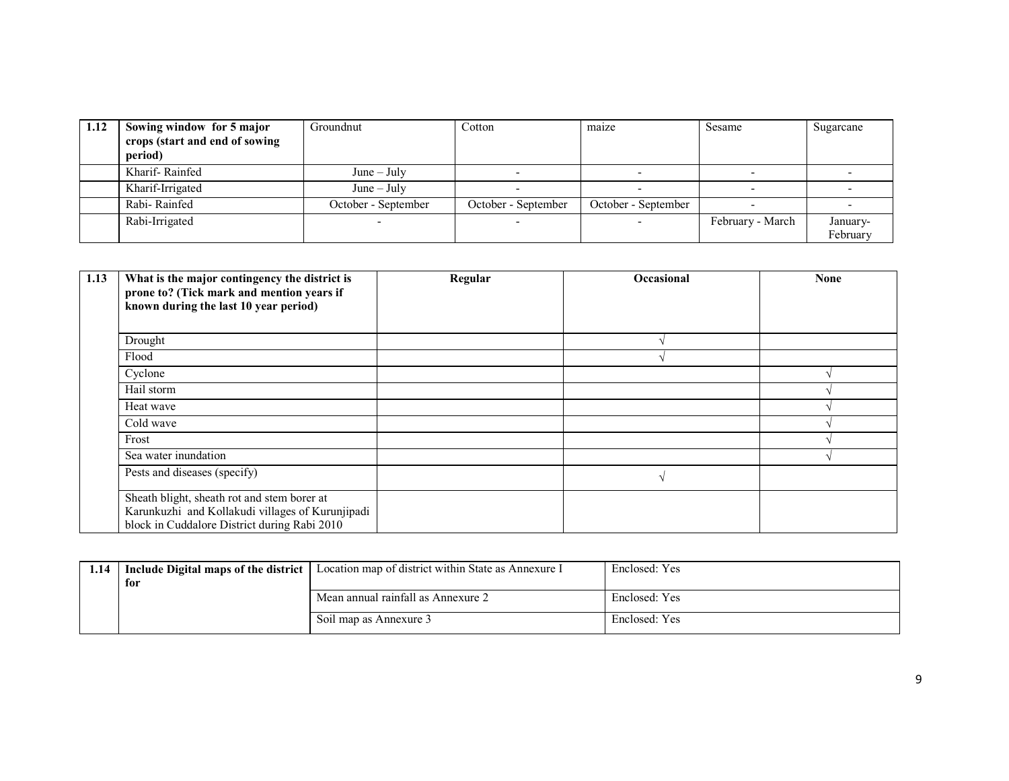| 1.12 | Sowing window for 5 major<br>crops (start and end of sowing<br>period) | Groundnut           | Cotton              | maize               | Sesame           | Sugarcane |
|------|------------------------------------------------------------------------|---------------------|---------------------|---------------------|------------------|-----------|
|      | Kharif-Rainfed                                                         | $June - July$       |                     |                     |                  |           |
|      | Kharif-Irrigated                                                       | $June - July$       |                     |                     |                  |           |
|      | Rabi-Rainfed                                                           | October - September | October - September | October - September |                  |           |
|      | Rabi-Irrigated                                                         |                     |                     |                     | February - March | January-  |
|      |                                                                        |                     |                     |                     |                  | February  |

| 1.13 | What is the major contingency the district is<br>prone to? (Tick mark and mention years if<br>known during the last 10 year period)             | Regular | <b>Occasional</b> | <b>None</b> |
|------|-------------------------------------------------------------------------------------------------------------------------------------------------|---------|-------------------|-------------|
|      | Drought                                                                                                                                         |         |                   |             |
|      | Flood                                                                                                                                           |         |                   |             |
|      | Cyclone                                                                                                                                         |         |                   |             |
|      | Hail storm                                                                                                                                      |         |                   |             |
|      | Heat wave                                                                                                                                       |         |                   |             |
|      | Cold wave                                                                                                                                       |         |                   |             |
|      | Frost                                                                                                                                           |         |                   |             |
|      | Sea water inundation                                                                                                                            |         |                   |             |
|      | Pests and diseases (specify)                                                                                                                    |         |                   |             |
|      | Sheath blight, sheath rot and stem borer at<br>Karunkuzhi and Kollakudi villages of Kurunjipadi<br>block in Cuddalore District during Rabi 2010 |         |                   |             |

| 1.14 | Include Digital maps of the district | Location map of district within State as Annexure I | Enclosed: Yes |
|------|--------------------------------------|-----------------------------------------------------|---------------|
|      | for                                  |                                                     |               |
|      |                                      | Mean annual rainfall as Annexure 2                  | Enclosed: Yes |
|      |                                      | Soil map as Annexure 3                              | Enclosed: Yes |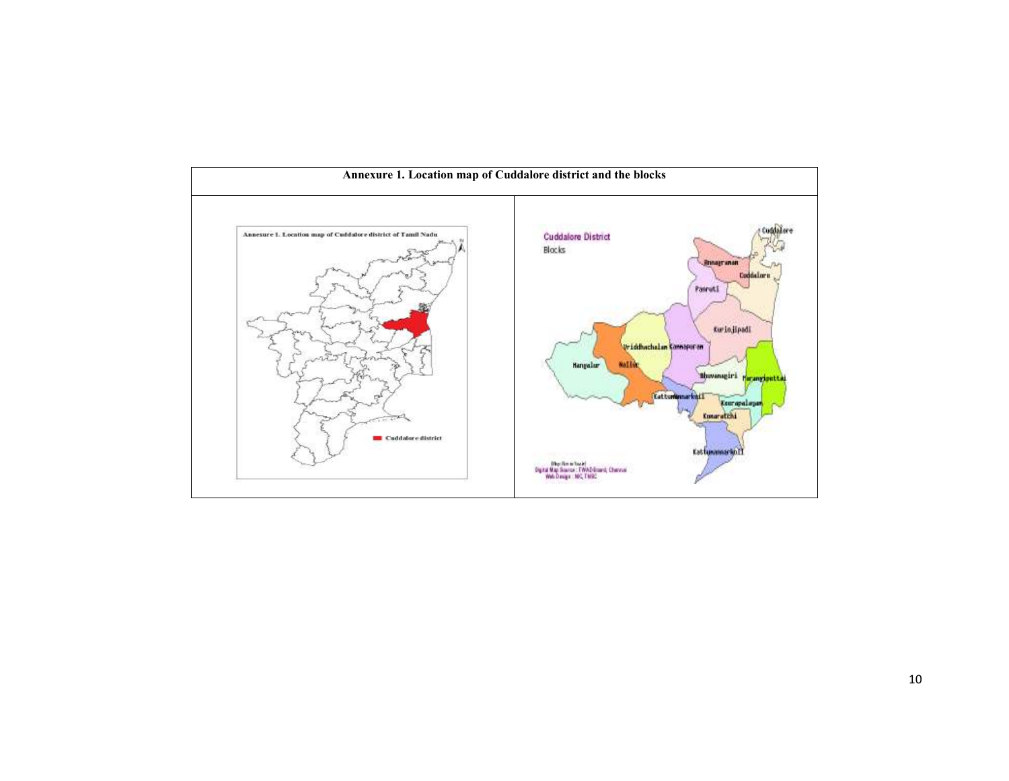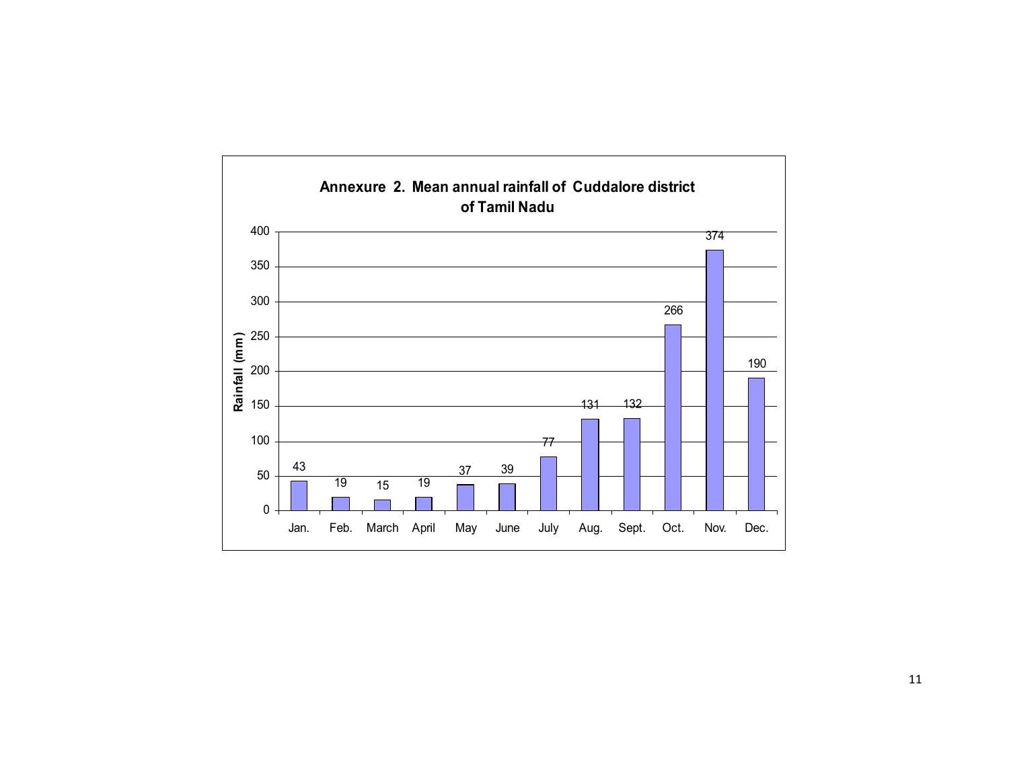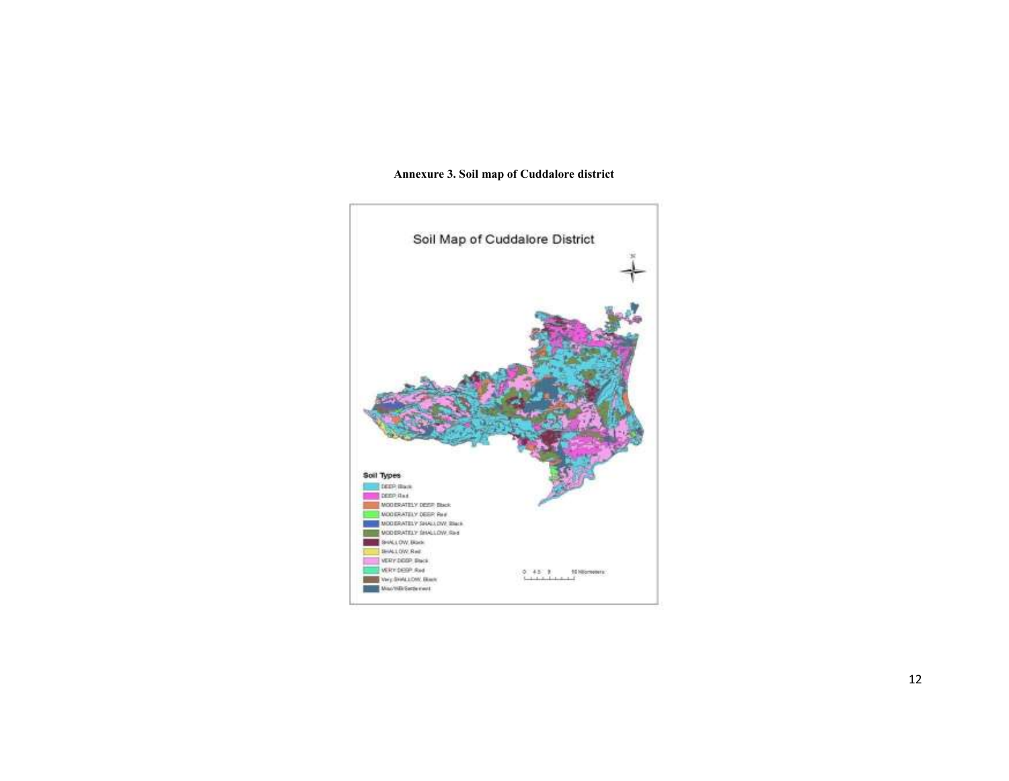#### Annexure 3. Soil map of Cuddalore district

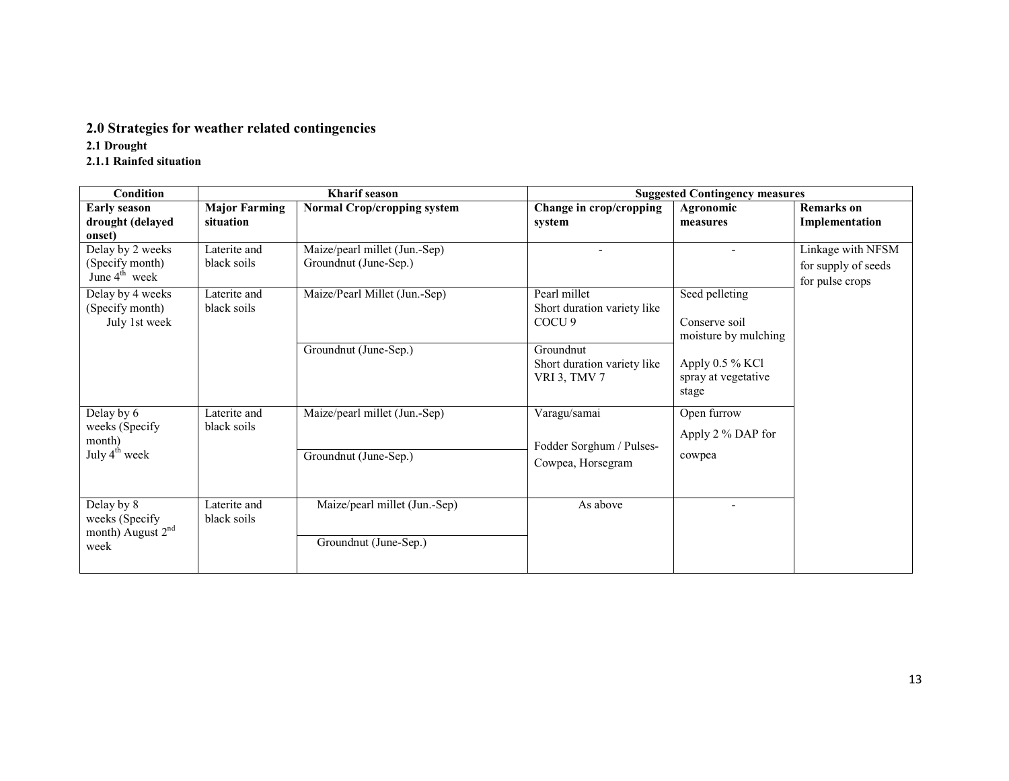# 2.0 Strategies for weather related contingencies

- 2.1 Drought
- 2.1.1 Rainfed situation

| <b>Condition</b>                                                      |                                   | Kharif season                                          |                                                                  | <b>Suggested Contingency measures</b>                   |                                                             |
|-----------------------------------------------------------------------|-----------------------------------|--------------------------------------------------------|------------------------------------------------------------------|---------------------------------------------------------|-------------------------------------------------------------|
| <b>Early season</b><br>drought (delayed<br>onset)                     | <b>Major Farming</b><br>situation | <b>Normal Crop/cropping system</b>                     | Change in crop/cropping<br>system                                | Agronomic<br>measures                                   | <b>Remarks</b> on<br>Implementation                         |
| Delay by 2 weeks<br>(Specify month)<br>June $4^{\text{th}}$ week      | Laterite and<br>black soils       | Maize/pearl millet (Jun.-Sep)<br>Groundnut (June-Sep.) |                                                                  |                                                         | Linkage with NFSM<br>for supply of seeds<br>for pulse crops |
| Delay by 4 weeks<br>(Specify month)<br>July 1st week                  | Laterite and<br>black soils       | Maize/Pearl Millet (Jun.-Sep)                          | Pearl millet<br>Short duration variety like<br>COCU <sub>9</sub> | Seed pelleting<br>Conserve soil<br>moisture by mulching |                                                             |
|                                                                       |                                   | Groundnut (June-Sep.)                                  | Groundnut<br>Short duration variety like<br><b>VRI 3, TMV 7</b>  | Apply 0.5 % KCl<br>spray at vegetative<br>stage         |                                                             |
| Delay by 6<br>weeks (Specify<br>month)<br>July $4^{\text{th}}$ week   | Laterite and<br>black soils       | Maize/pearl millet (Jun.-Sep)<br>Groundnut (June-Sep.) | Varagu/samai<br>Fodder Sorghum / Pulses-<br>Cowpea, Horsegram    | Open furrow<br>Apply 2 % DAP for<br>cowpea              |                                                             |
| Delay by 8<br>weeks (Specify<br>month) August 2 <sup>nd</sup><br>week | Laterite and<br>black soils       | Maize/pearl millet (Jun.-Sep)<br>Groundnut (June-Sep.) | As above                                                         |                                                         |                                                             |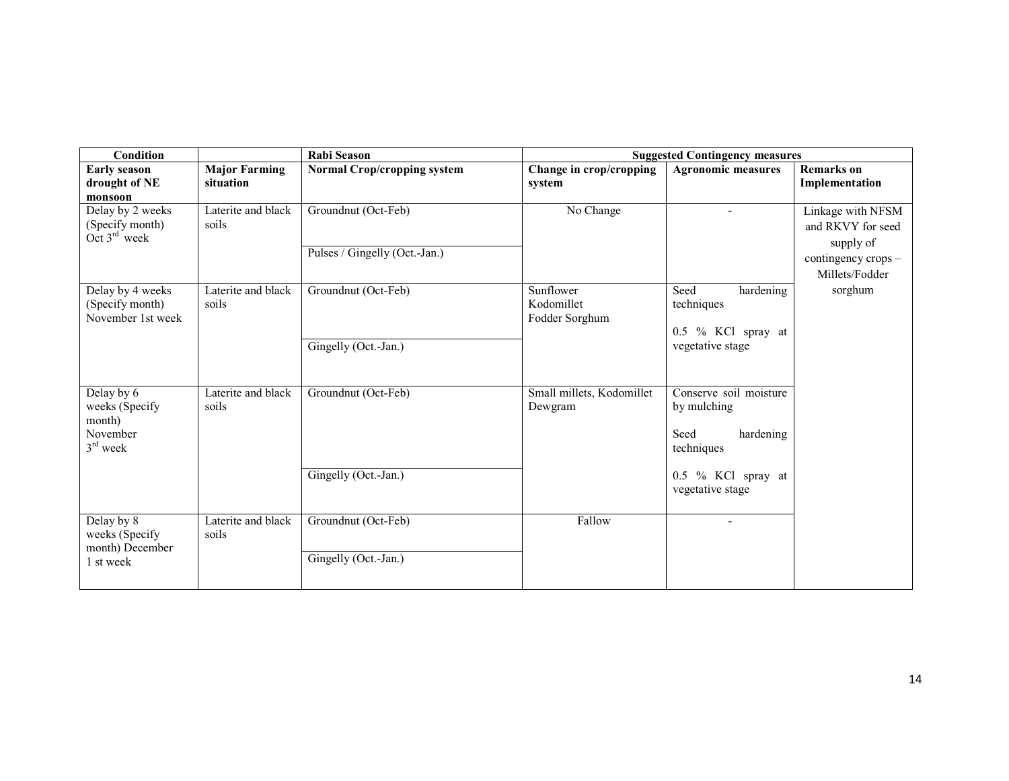| <b>Condition</b>                                                 |                                   | <b>Rabi Season</b>                                   | <b>Suggested Contingency measures</b>     |                                                                           |                                                     |  |  |
|------------------------------------------------------------------|-----------------------------------|------------------------------------------------------|-------------------------------------------|---------------------------------------------------------------------------|-----------------------------------------------------|--|--|
| <b>Early season</b><br>drought of NE<br>monsoon                  | <b>Major Farming</b><br>situation | <b>Normal Crop/cropping system</b>                   | Change in crop/cropping<br>system         | <b>Agronomic measures</b>                                                 | <b>Remarks</b> on<br>Implementation                 |  |  |
| Delay by 2 weeks<br>(Specify month)<br>Oct $3rd$ week            | Laterite and black<br>soils       | Groundnut (Oct-Feb)<br>Pulses / Gingelly (Oct.-Jan.) | No Change                                 |                                                                           | Linkage with NFSM<br>and RKVY for seed<br>supply of |  |  |
|                                                                  |                                   |                                                      |                                           |                                                                           | contingency crops -<br>Millets/Fodder               |  |  |
| Delay by 4 weeks<br>(Specify month)<br>November 1st week         | Laterite and black<br>soils       | Groundnut (Oct-Feb)                                  | Sunflower<br>Kodomillet<br>Fodder Sorghum | Seed<br>hardening<br>techniques<br>0.5 % KCl spray at<br>vegetative stage | sorghum                                             |  |  |
|                                                                  |                                   | Gingelly (Oct.-Jan.)                                 |                                           |                                                                           |                                                     |  |  |
| Delay by 6<br>weeks (Specify<br>month)<br>November<br>$3rd$ week | Laterite and black<br>soils       | Groundnut (Oct-Feb)                                  | Small millets, Kodomillet<br>Dewgram      | Conserve soil moisture<br>by mulching<br>hardening<br>Seed<br>techniques  |                                                     |  |  |
|                                                                  |                                   | Gingelly (Oct.-Jan.)                                 |                                           | 0.5 % KCl spray at<br>vegetative stage                                    |                                                     |  |  |
| Delay by 8<br>weeks (Specify<br>month) December                  | Laterite and black<br>soils       | Groundnut (Oct-Feb)                                  | Fallow                                    |                                                                           |                                                     |  |  |
| 1 st week                                                        |                                   | Gingelly (Oct.-Jan.)                                 |                                           |                                                                           |                                                     |  |  |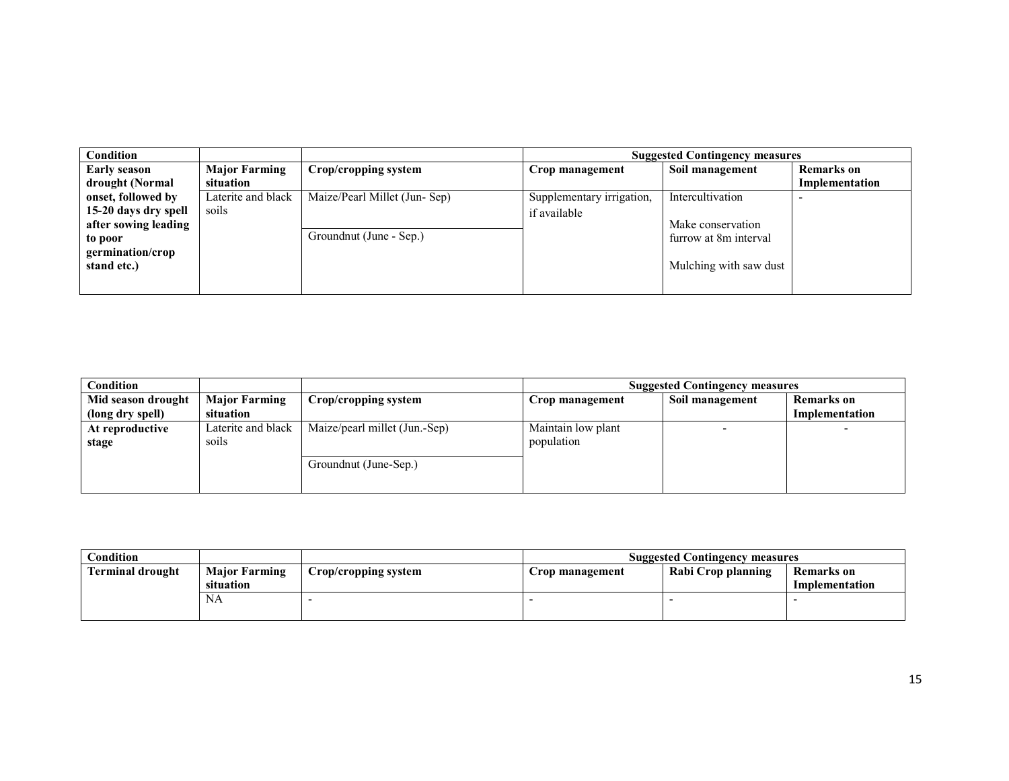| <b>Condition</b>     |                      |                              | <b>Suggested Contingency measures</b> |                        |                   |  |  |
|----------------------|----------------------|------------------------------|---------------------------------------|------------------------|-------------------|--|--|
| <b>Early season</b>  | <b>Major Farming</b> | Crop/cropping system         | Crop management                       | Soil management        | <b>Remarks</b> on |  |  |
| drought (Normal      | situation            |                              |                                       |                        | Implementation    |  |  |
| onset, followed by   | Laterite and black   | Maize/Pearl Millet (Jun-Sep) | Supplementary irrigation,             | Intercultivation       |                   |  |  |
| 15-20 days dry spell | soils                |                              | if available                          |                        |                   |  |  |
| after sowing leading |                      |                              |                                       | Make conservation      |                   |  |  |
| to poor              |                      | Groundnut (June - Sep.)      |                                       | furrow at 8m interval  |                   |  |  |
| germination/crop     |                      |                              |                                       |                        |                   |  |  |
| stand etc.)          |                      |                              |                                       | Mulching with saw dust |                   |  |  |
|                      |                      |                              |                                       |                        |                   |  |  |
|                      |                      |                              |                                       |                        |                   |  |  |

| Condition          |                      |                               | <b>Suggested Contingency measures</b> |                 |                   |  |  |
|--------------------|----------------------|-------------------------------|---------------------------------------|-----------------|-------------------|--|--|
| Mid season drought | <b>Major Farming</b> | Crop/cropping system          | Crop management                       | Soil management | <b>Remarks</b> on |  |  |
| (long dry spell)   | situation            |                               |                                       |                 | Implementation    |  |  |
| At reproductive    | Laterite and black   | Maize/pearl millet (Jun.-Sep) | Maintain low plant                    |                 |                   |  |  |
| stage              | soils                |                               | population                            |                 |                   |  |  |
|                    |                      | Groundnut (June-Sep.)         |                                       |                 |                   |  |  |

| Condition               |                                   |                      | <b>Suggested Contingency measures</b> |                    |                              |  |  |
|-------------------------|-----------------------------------|----------------------|---------------------------------------|--------------------|------------------------------|--|--|
| <b>Terminal drought</b> | <b>Major Farming</b><br>situation | Crop/cropping system | Crop management                       | Rabi Crop planning | Remarks on<br>Implementation |  |  |
|                         | INA                               |                      |                                       |                    |                              |  |  |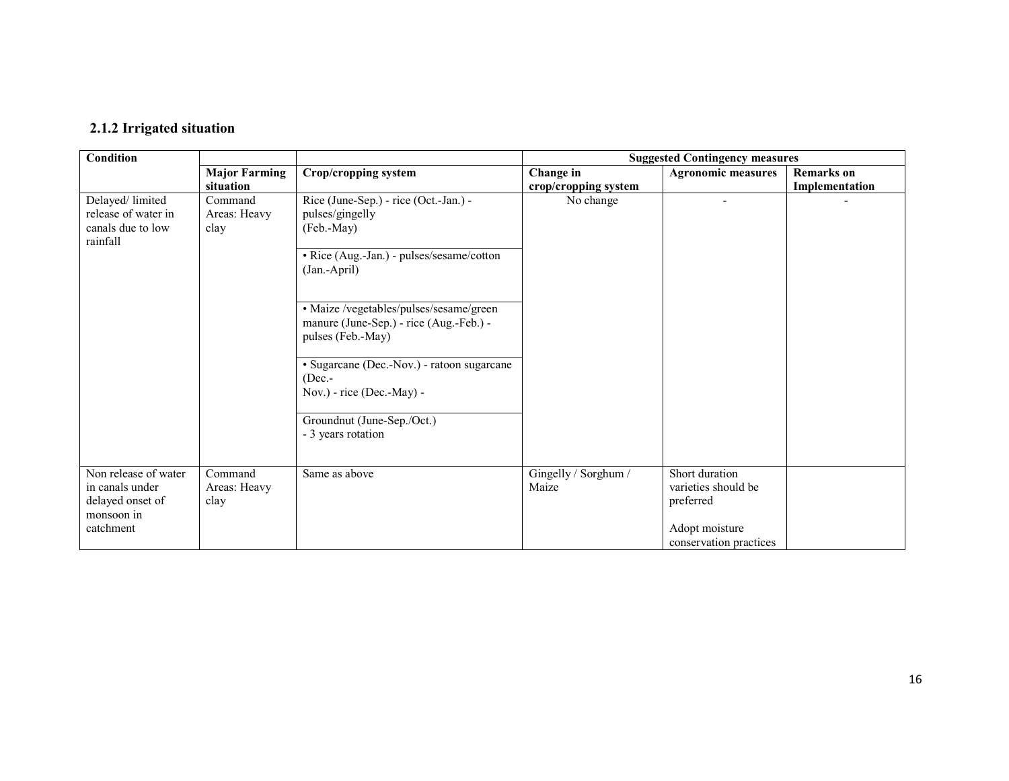# 2.1.2 Irrigated situation

| Condition                                                                              |                                 |                                                                                                         | <b>Suggested Contingency measures</b> |                                                                                                |                   |  |
|----------------------------------------------------------------------------------------|---------------------------------|---------------------------------------------------------------------------------------------------------|---------------------------------------|------------------------------------------------------------------------------------------------|-------------------|--|
|                                                                                        | <b>Major Farming</b>            | Crop/cropping system                                                                                    | Change in                             | <b>Agronomic measures</b>                                                                      | <b>Remarks</b> on |  |
|                                                                                        | situation                       |                                                                                                         | crop/cropping system                  |                                                                                                | Implementation    |  |
| Delayed/limited<br>release of water in<br>canals due to low<br>rainfall                | Command<br>Areas: Heavy<br>clay | Rice (June-Sep.) - rice (Oct.-Jan.) -<br>pulses/gingelly<br>(Feb.-May)                                  | No change                             | ۰                                                                                              |                   |  |
|                                                                                        |                                 | • Rice (Aug.-Jan.) - pulses/sesame/cotton<br>(Jan.-April)                                               |                                       |                                                                                                |                   |  |
|                                                                                        |                                 | · Maize /vegetables/pulses/sesame/green<br>manure (June-Sep.) - rice (Aug.-Feb.) -<br>pulses (Feb.-May) |                                       |                                                                                                |                   |  |
|                                                                                        |                                 | • Sugarcane (Dec.-Nov.) - ratoon sugarcane<br>$(Dec. -$<br>Nov.) - rice (Dec.-May) -                    |                                       |                                                                                                |                   |  |
|                                                                                        |                                 | Groundnut (June-Sep./Oct.)<br>- 3 years rotation                                                        |                                       |                                                                                                |                   |  |
| Non release of water<br>in canals under<br>delayed onset of<br>monsoon in<br>catchment | Command<br>Areas: Heavy<br>clay | Same as above                                                                                           | Gingelly / Sorghum /<br>Maize         | Short duration<br>varieties should be<br>preferred<br>Adopt moisture<br>conservation practices |                   |  |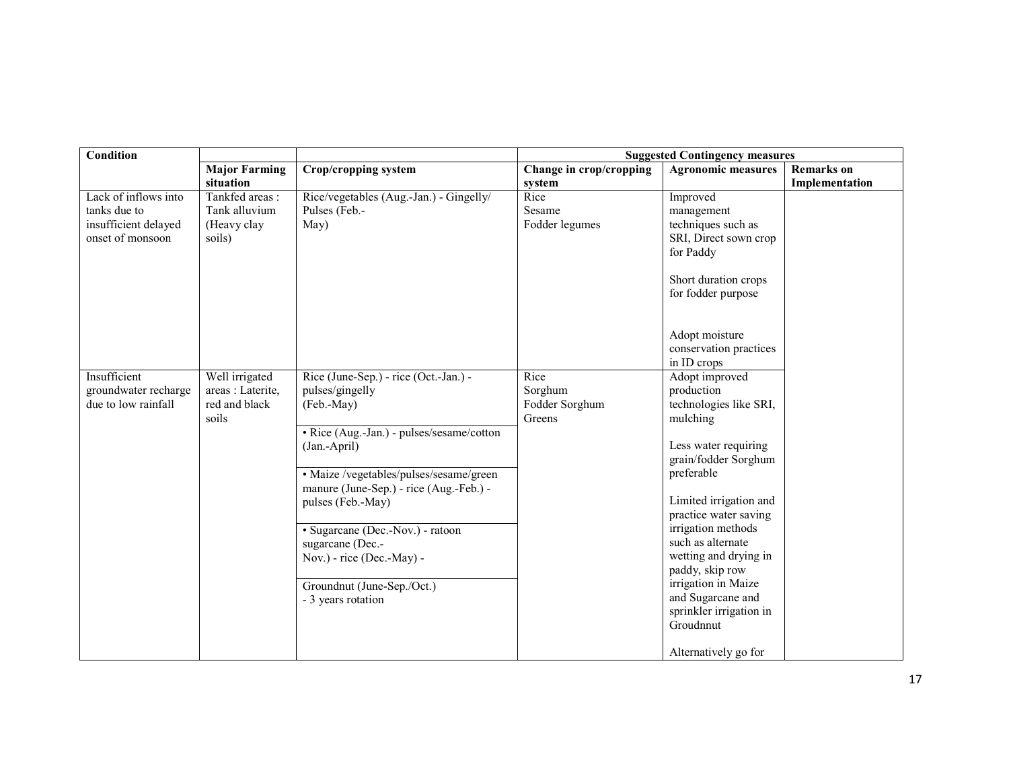| <b>Condition</b>     |                      |                                                              | <b>Suggested Contingency measures</b> |                           |                   |  |
|----------------------|----------------------|--------------------------------------------------------------|---------------------------------------|---------------------------|-------------------|--|
|                      | <b>Major Farming</b> | Crop/cropping system                                         | Change in crop/cropping               | <b>Agronomic measures</b> | <b>Remarks</b> on |  |
|                      | situation            |                                                              | system                                |                           | Implementation    |  |
| Lack of inflows into | Tankfed areas:       | Rice/vegetables (Aug.-Jan.) - Gingelly/                      | Rice                                  | Improved                  |                   |  |
| tanks due to         | Tank alluvium        | Pulses (Feb.-                                                | Sesame                                | management                |                   |  |
| insufficient delayed | (Heavy clay          | May)                                                         | Fodder legumes                        | techniques such as        |                   |  |
| onset of monsoon     | soils)               |                                                              |                                       | SRI, Direct sown crop     |                   |  |
|                      |                      |                                                              |                                       | for Paddy                 |                   |  |
|                      |                      |                                                              |                                       |                           |                   |  |
|                      |                      |                                                              |                                       | Short duration crops      |                   |  |
|                      |                      |                                                              |                                       | for fodder purpose        |                   |  |
|                      |                      |                                                              |                                       |                           |                   |  |
|                      |                      |                                                              |                                       | Adopt moisture            |                   |  |
|                      |                      |                                                              |                                       | conservation practices    |                   |  |
|                      |                      |                                                              |                                       | in ID crops               |                   |  |
| Insufficient         | Well irrigated       | Rice (June-Sep.) - rice (Oct.-Jan.) -                        | Rice                                  | Adopt improved            |                   |  |
| groundwater recharge | areas : Laterite,    | pulses/gingelly                                              | Sorghum                               | production                |                   |  |
| due to low rainfall  | red and black        | (Feb.-May)                                                   | Fodder Sorghum                        | technologies like SRI,    |                   |  |
|                      | soils                |                                                              | Greens                                | mulching                  |                   |  |
|                      |                      | • Rice (Aug.-Jan.) - pulses/sesame/cotton                    |                                       |                           |                   |  |
|                      |                      | (Jan.-April)                                                 |                                       | Less water requiring      |                   |  |
|                      |                      |                                                              |                                       | grain/fodder Sorghum      |                   |  |
|                      |                      | · Maize /vegetables/pulses/sesame/green                      |                                       | preferable                |                   |  |
|                      |                      | manure (June-Sep.) - rice (Aug.-Feb.) -<br>pulses (Feb.-May) |                                       | Limited irrigation and    |                   |  |
|                      |                      |                                                              |                                       | practice water saving     |                   |  |
|                      |                      | • Sugarcane (Dec.-Nov.) - ratoon                             |                                       | irrigation methods        |                   |  |
|                      |                      | sugarcane (Dec.-                                             |                                       | such as alternate         |                   |  |
|                      |                      | Nov.) - rice (Dec.-May) -                                    |                                       | wetting and drying in     |                   |  |
|                      |                      |                                                              |                                       | paddy, skip row           |                   |  |
|                      |                      | Groundnut (June-Sep./Oct.)                                   |                                       | irrigation in Maize       |                   |  |
|                      |                      | - 3 years rotation                                           |                                       | and Sugarcane and         |                   |  |
|                      |                      |                                                              |                                       | sprinkler irrigation in   |                   |  |
|                      |                      |                                                              |                                       | Groudnnut                 |                   |  |
|                      |                      |                                                              |                                       |                           |                   |  |
|                      |                      |                                                              |                                       | Alternatively go for      |                   |  |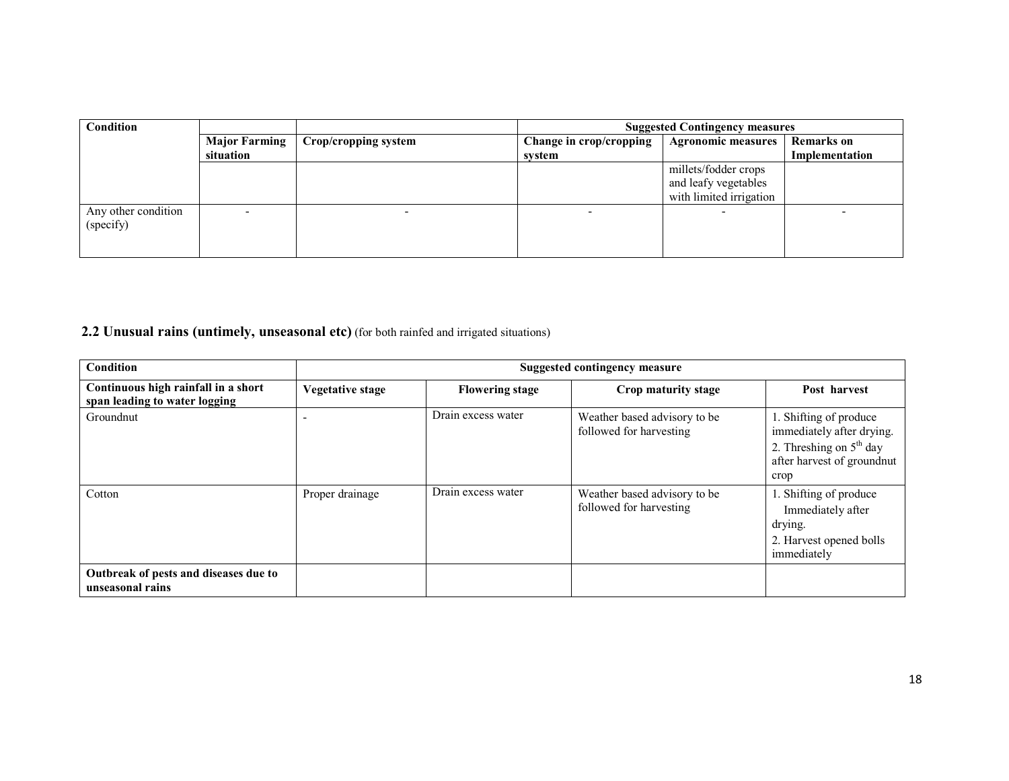| Condition           |                      |                      | <b>Suggested Contingency measures</b> |                           |                   |
|---------------------|----------------------|----------------------|---------------------------------------|---------------------------|-------------------|
|                     | <b>Major Farming</b> | Crop/cropping system | Change in crop/cropping               | <b>Agronomic measures</b> | <b>Remarks</b> on |
|                     | situation            |                      | system                                |                           | Implementation    |
|                     |                      |                      |                                       | millets/fodder crops      |                   |
|                     |                      |                      |                                       | and leafy vegetables      |                   |
|                     |                      |                      |                                       | with limited irrigation   |                   |
| Any other condition |                      |                      |                                       |                           |                   |
| (specify)           |                      |                      |                                       |                           |                   |
|                     |                      |                      |                                       |                           |                   |
|                     |                      |                      |                                       |                           |                   |

### **2.2 Unusual rains (untimely, unseasonal etc)** (for both rainfed and irrigated situations)

| Condition                                                            |                  |                        | <b>Suggested contingency measure</b>                    |                                                                                                                        |
|----------------------------------------------------------------------|------------------|------------------------|---------------------------------------------------------|------------------------------------------------------------------------------------------------------------------------|
| Continuous high rainfall in a short<br>span leading to water logging | Vegetative stage | <b>Flowering stage</b> | Crop maturity stage                                     | Post harvest                                                                                                           |
| Groundnut                                                            |                  | Drain excess water     | Weather based advisory to be<br>followed for harvesting | 1. Shifting of produce<br>immediately after drying.<br>2. Threshing on $5th$ day<br>after harvest of groundnut<br>crop |
| Cotton                                                               | Proper drainage  | Drain excess water     | Weather based advisory to be<br>followed for harvesting | 1. Shifting of produce<br>Immediately after<br>drying.<br>2. Harvest opened bolls<br>immediately                       |
| Outbreak of pests and diseases due to<br>unseasonal rains            |                  |                        |                                                         |                                                                                                                        |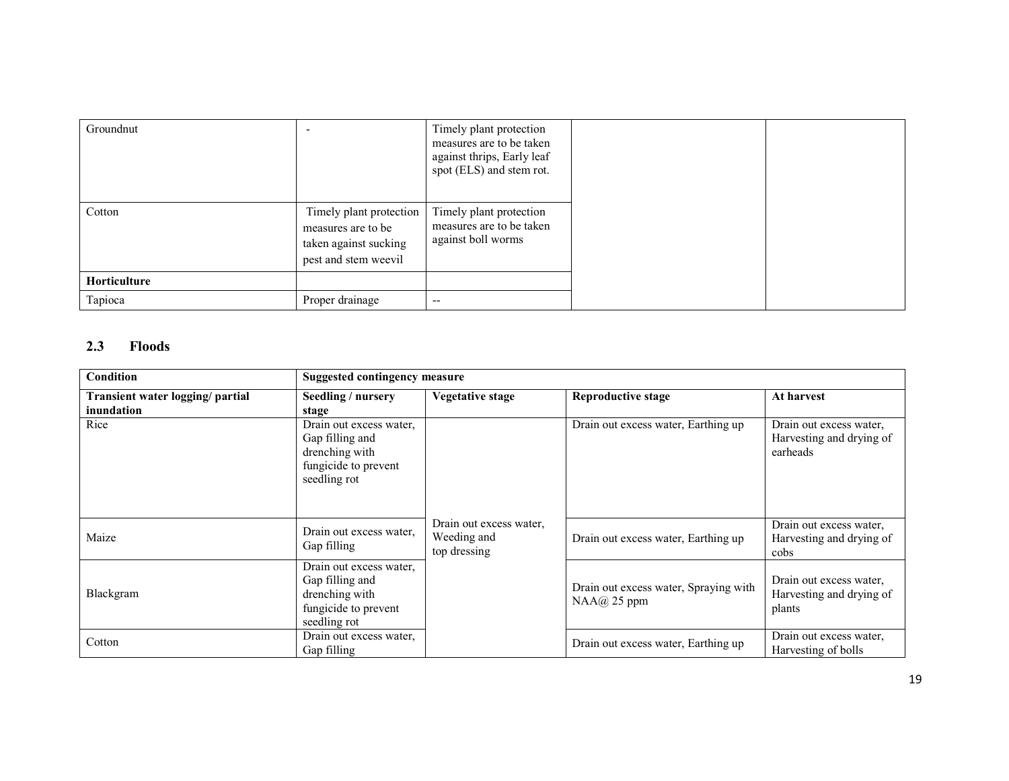| Groundnut    |                                                                                                | Timely plant protection<br>measures are to be taken<br>against thrips, Early leaf<br>spot (ELS) and stem rot. |
|--------------|------------------------------------------------------------------------------------------------|---------------------------------------------------------------------------------------------------------------|
| Cotton       | Timely plant protection<br>measures are to be<br>taken against sucking<br>pest and stem weevil | Timely plant protection<br>measures are to be taken<br>against boll worms                                     |
| Horticulture |                                                                                                |                                                                                                               |
| Tapioca      | Proper drainage                                                                                | $-$                                                                                                           |

# 2.3 Floods

| Condition                                      | <b>Suggested contingency measure</b>                                                                 |                                                        |                                                       |                                                                 |  |
|------------------------------------------------|------------------------------------------------------------------------------------------------------|--------------------------------------------------------|-------------------------------------------------------|-----------------------------------------------------------------|--|
| Transient water logging/ partial<br>inundation | Seedling / nursery<br>stage                                                                          | Vegetative stage                                       | <b>Reproductive stage</b>                             | At harvest                                                      |  |
| Rice                                           | Drain out excess water.<br>Gap filling and<br>drenching with<br>fungicide to prevent<br>seedling rot |                                                        | Drain out excess water, Earthing up                   | Drain out excess water,<br>Harvesting and drying of<br>earheads |  |
| Maize                                          | Drain out excess water,<br>Gap filling                                                               | Drain out excess water,<br>Weeding and<br>top dressing | Drain out excess water, Earthing up                   | Drain out excess water,<br>Harvesting and drying of<br>cobs     |  |
| Blackgram                                      | Drain out excess water,<br>Gap filling and<br>drenching with<br>fungicide to prevent<br>seedling rot |                                                        | Drain out excess water, Spraying with<br>$NAA@25$ ppm | Drain out excess water,<br>Harvesting and drying of<br>plants   |  |
| Cotton                                         | Drain out excess water.<br>Gap filling                                                               |                                                        | Drain out excess water, Earthing up                   | Drain out excess water,<br>Harvesting of bolls                  |  |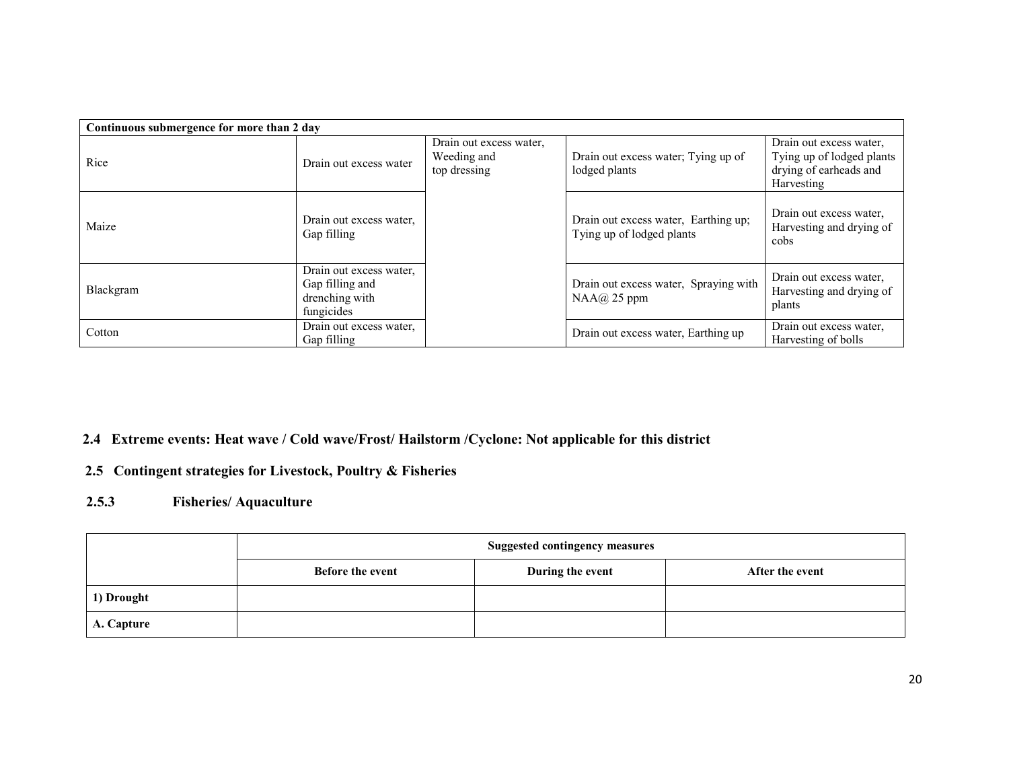|           | Continuous submergence for more than 2 day                                 |                                                        |                                                                   |                                                                                              |  |  |
|-----------|----------------------------------------------------------------------------|--------------------------------------------------------|-------------------------------------------------------------------|----------------------------------------------------------------------------------------------|--|--|
| Rice      | Drain out excess water                                                     | Drain out excess water,<br>Weeding and<br>top dressing | Drain out excess water; Tying up of<br>lodged plants              | Drain out excess water,<br>Tying up of lodged plants<br>drying of earheads and<br>Harvesting |  |  |
| Maize     | Drain out excess water,<br>Gap filling                                     |                                                        | Drain out excess water, Earthing up;<br>Tying up of lodged plants | Drain out excess water,<br>Harvesting and drying of<br>cobs                                  |  |  |
| Blackgram | Drain out excess water,<br>Gap filling and<br>drenching with<br>fungicides |                                                        | Drain out excess water, Spraying with<br>$NAA@$ 25 ppm            | Drain out excess water,<br>Harvesting and drying of<br>plants                                |  |  |
| Cotton    | Drain out excess water.<br>Gap filling                                     |                                                        | Drain out excess water, Earthing up                               | Drain out excess water,<br>Harvesting of bolls                                               |  |  |

# 2.4 Extreme events: Heat wave / Cold wave/Frost/ Hailstorm /Cyclone: Not applicable for this district

# 2.5 Contingent strategies for Livestock, Poultry & Fisheries

#### 2.5.3Fisheries/ Aquaculture

|            | <b>Suggested contingency measures</b> |                  |                 |  |  |
|------------|---------------------------------------|------------------|-----------------|--|--|
|            | <b>Before the event</b>               | During the event | After the event |  |  |
| 1) Drought |                                       |                  |                 |  |  |
| A. Capture |                                       |                  |                 |  |  |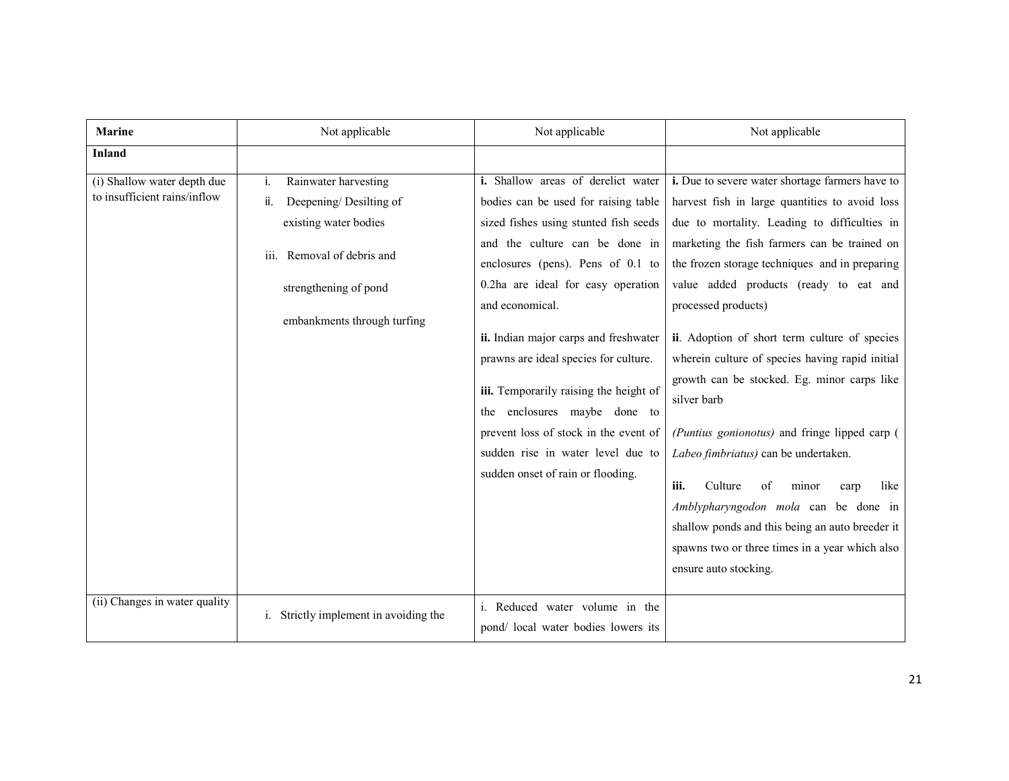| <b>Marine</b>                                                                                | Not applicable                                                                                                                                                             | Not applicable                                                                                                                                                                                                                                                                                                                                                                                                                                                                                                                        | Not applicable                                                                                                                                                                                                                                                                                                                                                                                                                                                                                                                                                                                                                                                                                                                                                                                          |
|----------------------------------------------------------------------------------------------|----------------------------------------------------------------------------------------------------------------------------------------------------------------------------|---------------------------------------------------------------------------------------------------------------------------------------------------------------------------------------------------------------------------------------------------------------------------------------------------------------------------------------------------------------------------------------------------------------------------------------------------------------------------------------------------------------------------------------|---------------------------------------------------------------------------------------------------------------------------------------------------------------------------------------------------------------------------------------------------------------------------------------------------------------------------------------------------------------------------------------------------------------------------------------------------------------------------------------------------------------------------------------------------------------------------------------------------------------------------------------------------------------------------------------------------------------------------------------------------------------------------------------------------------|
| <b>Inland</b>                                                                                |                                                                                                                                                                            |                                                                                                                                                                                                                                                                                                                                                                                                                                                                                                                                       |                                                                                                                                                                                                                                                                                                                                                                                                                                                                                                                                                                                                                                                                                                                                                                                                         |
| (i) Shallow water depth due<br>to insufficient rains/inflow<br>(ii) Changes in water quality | Rainwater harvesting<br>i.<br>Deepening/Desilting of<br>ii.<br>existing water bodies<br>iii. Removal of debris and<br>strengthening of pond<br>embankments through turfing | i. Shallow areas of derelict water<br>bodies can be used for raising table<br>sized fishes using stunted fish seeds<br>and the culture can be done in<br>enclosures (pens). Pens of 0.1 to<br>0.2ha are ideal for easy operation<br>and economical.<br>ii. Indian major carps and freshwater<br>prawns are ideal species for culture.<br>iii. Temporarily raising the height of<br>enclosures maybe done to<br>the<br>prevent loss of stock in the event of<br>sudden rise in water level due to<br>sudden onset of rain or flooding. | i. Due to severe water shortage farmers have to<br>harvest fish in large quantities to avoid loss<br>due to mortality. Leading to difficulties in<br>marketing the fish farmers can be trained on<br>the frozen storage techniques and in preparing<br>value added products (ready to eat and<br>processed products)<br>ii. Adoption of short term culture of species<br>wherein culture of species having rapid initial<br>growth can be stocked. Eg. minor carps like<br>silver barb<br>(Puntius gonionotus) and fringe lipped carp (<br>Labeo fimbriatus) can be undertaken.<br>iii.<br>Culture<br>like<br>minor<br>οf<br>carp<br>Amblypharyngodon mola can be done in<br>shallow ponds and this being an auto breeder it<br>spawns two or three times in a year which also<br>ensure auto stocking. |
|                                                                                              | Strictly implement in avoiding the<br>i.                                                                                                                                   | i. Reduced water volume in the<br>pond/local water bodies lowers its                                                                                                                                                                                                                                                                                                                                                                                                                                                                  |                                                                                                                                                                                                                                                                                                                                                                                                                                                                                                                                                                                                                                                                                                                                                                                                         |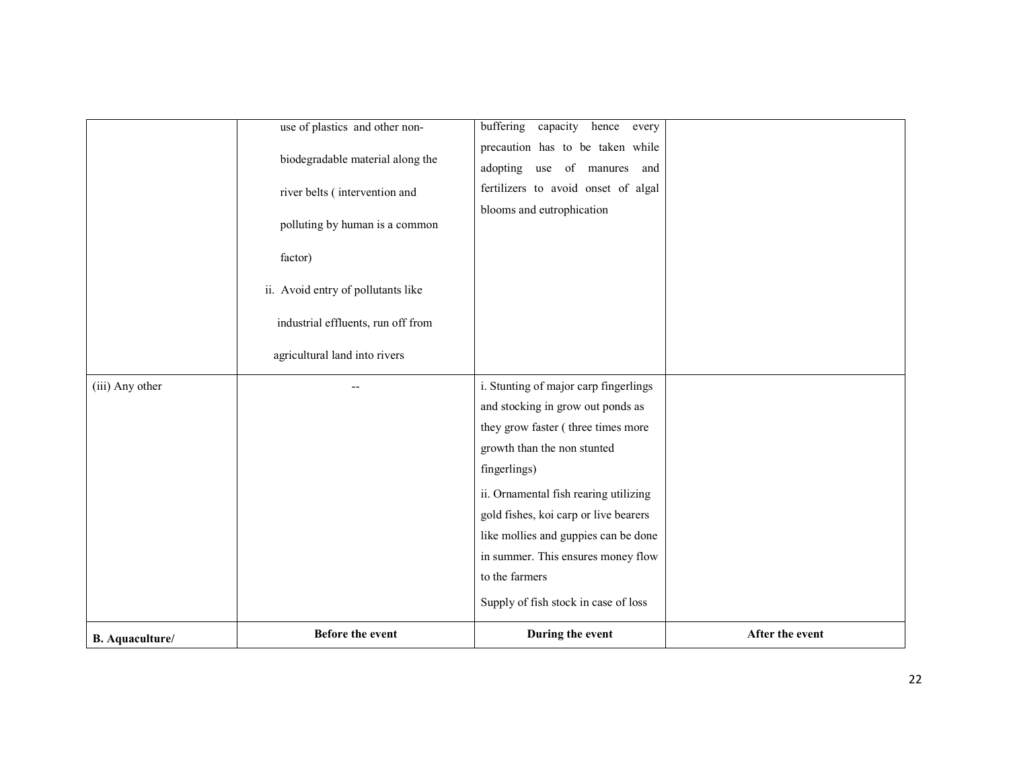|                        | use of plastics and other non-     | buffering capacity<br>hence every     |                 |
|------------------------|------------------------------------|---------------------------------------|-----------------|
|                        |                                    | precaution has to be taken while      |                 |
|                        | biodegradable material along the   | adopting use of manures and           |                 |
|                        | river belts (intervention and      | fertilizers to avoid onset of algal   |                 |
|                        |                                    | blooms and eutrophication             |                 |
|                        | polluting by human is a common     |                                       |                 |
|                        | factor)                            |                                       |                 |
|                        | ii. Avoid entry of pollutants like |                                       |                 |
|                        | industrial effluents, run off from |                                       |                 |
|                        | agricultural land into rivers      |                                       |                 |
| (iii) Any other        |                                    | i. Stunting of major carp fingerlings |                 |
|                        |                                    | and stocking in grow out ponds as     |                 |
|                        |                                    | they grow faster (three times more    |                 |
|                        |                                    | growth than the non stunted           |                 |
|                        |                                    | fingerlings)                          |                 |
|                        |                                    | ii. Ornamental fish rearing utilizing |                 |
|                        |                                    | gold fishes, koi carp or live bearers |                 |
|                        |                                    | like mollies and guppies can be done  |                 |
|                        |                                    | in summer. This ensures money flow    |                 |
|                        |                                    | to the farmers                        |                 |
|                        |                                    | Supply of fish stock in case of loss  |                 |
| <b>B.</b> Aquaculture/ | <b>Before the event</b>            | During the event                      | After the event |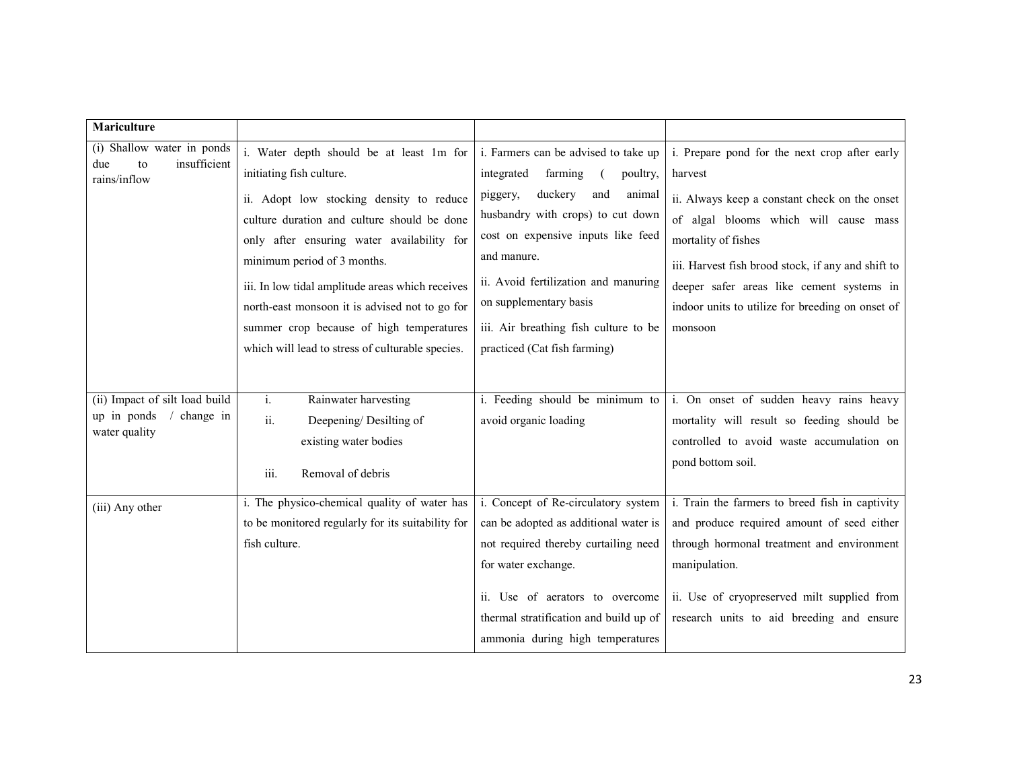| <b>Mariculture</b>                                                          |                                                                                                                                                                                                                                                                                                                                                                                                                                                    |                                                                                                                                                                                                                                                                                                                                                        |                                                                                                                                                                                                                                                                                                                                             |
|-----------------------------------------------------------------------------|----------------------------------------------------------------------------------------------------------------------------------------------------------------------------------------------------------------------------------------------------------------------------------------------------------------------------------------------------------------------------------------------------------------------------------------------------|--------------------------------------------------------------------------------------------------------------------------------------------------------------------------------------------------------------------------------------------------------------------------------------------------------------------------------------------------------|---------------------------------------------------------------------------------------------------------------------------------------------------------------------------------------------------------------------------------------------------------------------------------------------------------------------------------------------|
| (i) Shallow water in ponds<br>insufficient<br>due<br>to<br>rains/inflow     | i. Water depth should be at least 1m for<br>initiating fish culture.<br>ii. Adopt low stocking density to reduce<br>culture duration and culture should be done<br>only after ensuring water availability for<br>minimum period of 3 months.<br>iii. In low tidal amplitude areas which receives<br>north-east monsoon it is advised not to go for<br>summer crop because of high temperatures<br>which will lead to stress of culturable species. | i. Farmers can be advised to take up<br>integrated<br>farming<br>poultry,<br>duckery<br>animal<br>piggery,<br>and<br>husbandry with crops) to cut down<br>cost on expensive inputs like feed<br>and manure.<br>ii. Avoid fertilization and manuring<br>on supplementary basis<br>iii. Air breathing fish culture to be<br>practiced (Cat fish farming) | i. Prepare pond for the next crop after early<br>harvest<br>ii. Always keep a constant check on the onset<br>of algal blooms which will cause mass<br>mortality of fishes<br>iii. Harvest fish brood stock, if any and shift to<br>deeper safer areas like cement systems in<br>indoor units to utilize for breeding on onset of<br>monsoon |
| (ii) Impact of silt load build<br>up in ponds<br>change in<br>water quality | Rainwater harvesting<br>$\mathbf{i}$ .<br>ii.<br>Deepening/Desilting of<br>existing water bodies<br>iii.<br>Removal of debris                                                                                                                                                                                                                                                                                                                      | i. Feeding should be minimum to<br>avoid organic loading                                                                                                                                                                                                                                                                                               | i. On onset of sudden heavy rains heavy<br>mortality will result so feeding should be<br>controlled to avoid waste accumulation on<br>pond bottom soil.                                                                                                                                                                                     |
| (iii) Any other                                                             | i. The physico-chemical quality of water has<br>to be monitored regularly for its suitability for<br>fish culture.                                                                                                                                                                                                                                                                                                                                 | i. Concept of Re-circulatory system<br>can be adopted as additional water is<br>not required thereby curtailing need<br>for water exchange.<br>ii. Use of aerators to overcome<br>thermal stratification and build up of<br>ammonia during high temperatures                                                                                           | i. Train the farmers to breed fish in captivity<br>and produce required amount of seed either<br>through hormonal treatment and environment<br>manipulation.<br>ii. Use of cryopreserved milt supplied from<br>research units to aid breeding and ensure                                                                                    |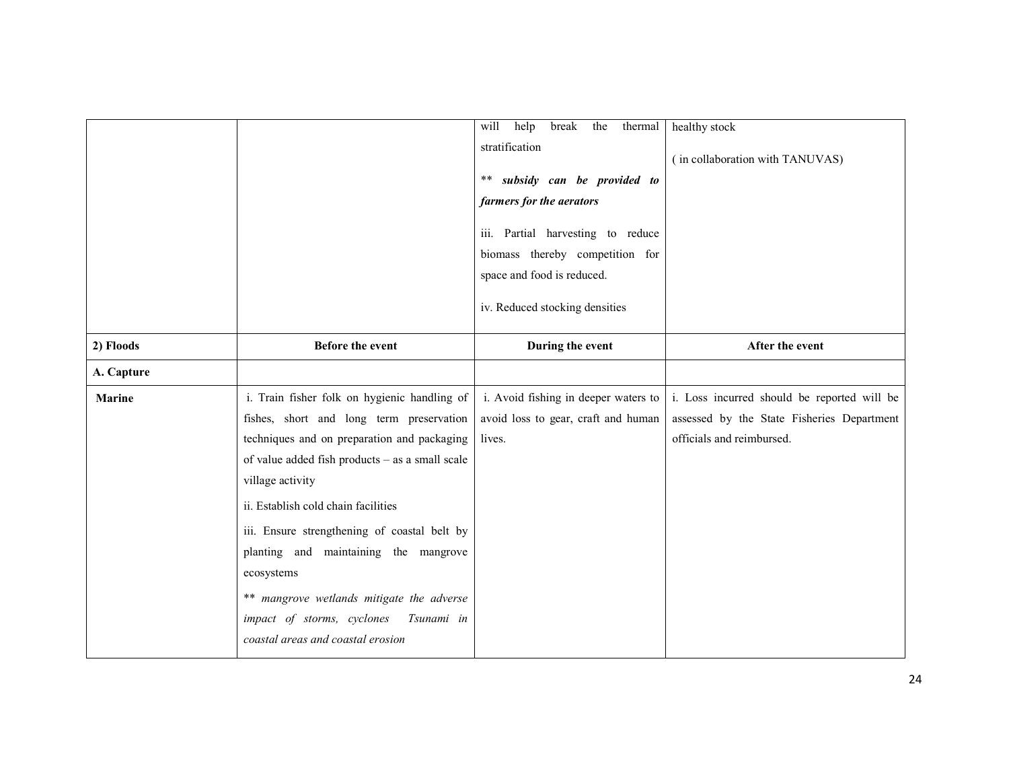|               |                                                                                                                                                                                                                                                                                                                                                                                                                                                                                            | will<br>help<br>break<br>the<br>thermal<br>stratification<br>subsidy can be provided to<br>**<br>farmers for the aerators<br>iii. Partial harvesting to reduce<br>biomass thereby competition for<br>space and food is reduced.<br>iv. Reduced stocking densities | healthy stock<br>(in collaboration with TANUVAS)                                                                       |
|---------------|--------------------------------------------------------------------------------------------------------------------------------------------------------------------------------------------------------------------------------------------------------------------------------------------------------------------------------------------------------------------------------------------------------------------------------------------------------------------------------------------|-------------------------------------------------------------------------------------------------------------------------------------------------------------------------------------------------------------------------------------------------------------------|------------------------------------------------------------------------------------------------------------------------|
| 2) Floods     | <b>Before the event</b>                                                                                                                                                                                                                                                                                                                                                                                                                                                                    | During the event                                                                                                                                                                                                                                                  | After the event                                                                                                        |
| A. Capture    |                                                                                                                                                                                                                                                                                                                                                                                                                                                                                            |                                                                                                                                                                                                                                                                   |                                                                                                                        |
| <b>Marine</b> | i. Train fisher folk on hygienic handling of<br>fishes, short and long term preservation<br>techniques and on preparation and packaging<br>of value added fish products - as a small scale<br>village activity<br>ii. Establish cold chain facilities<br>iii. Ensure strengthening of coastal belt by<br>planting and maintaining the mangrove<br>ecosystems<br>** mangrove wetlands mitigate the adverse<br>impact of storms, cyclones<br>Tsunami in<br>coastal areas and coastal erosion | i. Avoid fishing in deeper waters to<br>avoid loss to gear, craft and human<br>lives.                                                                                                                                                                             | i. Loss incurred should be reported will be<br>assessed by the State Fisheries Department<br>officials and reimbursed. |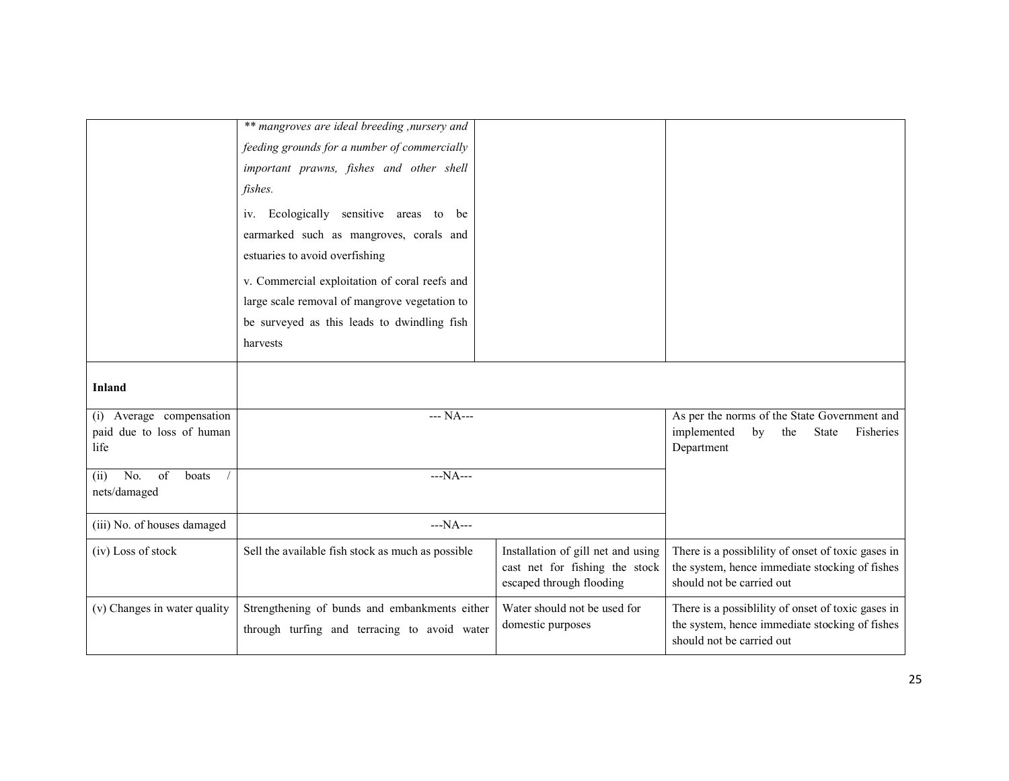|                              | ** mangroves are ideal breeding, nursery and      |                                    |                                                                             |
|------------------------------|---------------------------------------------------|------------------------------------|-----------------------------------------------------------------------------|
|                              | feeding grounds for a number of commercially      |                                    |                                                                             |
|                              | important prawns, fishes and other shell          |                                    |                                                                             |
|                              | fishes.                                           |                                    |                                                                             |
|                              | Ecologically sensitive areas to be<br>1V.         |                                    |                                                                             |
|                              | earmarked such as mangroves, corals and           |                                    |                                                                             |
|                              | estuaries to avoid overfishing                    |                                    |                                                                             |
|                              | v. Commercial exploitation of coral reefs and     |                                    |                                                                             |
|                              | large scale removal of mangrove vegetation to     |                                    |                                                                             |
|                              | be surveyed as this leads to dwindling fish       |                                    |                                                                             |
|                              | harvests                                          |                                    |                                                                             |
|                              |                                                   |                                    |                                                                             |
| <b>Inland</b>                |                                                   |                                    |                                                                             |
| (i) Average compensation     | --- NA---                                         |                                    | As per the norms of the State Government and                                |
| paid due to loss of human    |                                                   |                                    | implemented<br>by<br>the<br>State<br>Fisheries                              |
| life                         |                                                   |                                    | Department                                                                  |
| No.<br>of<br>(ii)<br>boats   |                                                   |                                    |                                                                             |
|                              | $--NA--$                                          |                                    |                                                                             |
| nets/damaged                 |                                                   |                                    |                                                                             |
| (iii) No. of houses damaged  | $--NA--$                                          |                                    |                                                                             |
| (iv) Loss of stock           | Sell the available fish stock as much as possible | Installation of gill net and using | There is a possibility of onset of toxic gases in                           |
|                              |                                                   | cast net for fishing the stock     | the system, hence immediate stocking of fishes                              |
|                              |                                                   | escaped through flooding           | should not be carried out                                                   |
| (v) Changes in water quality | Strengthening of bunds and embankments either     | Water should not be used for       | There is a possibility of onset of toxic gases in                           |
|                              | through turfing and terracing to avoid water      | domestic purposes                  | the system, hence immediate stocking of fishes<br>should not be carried out |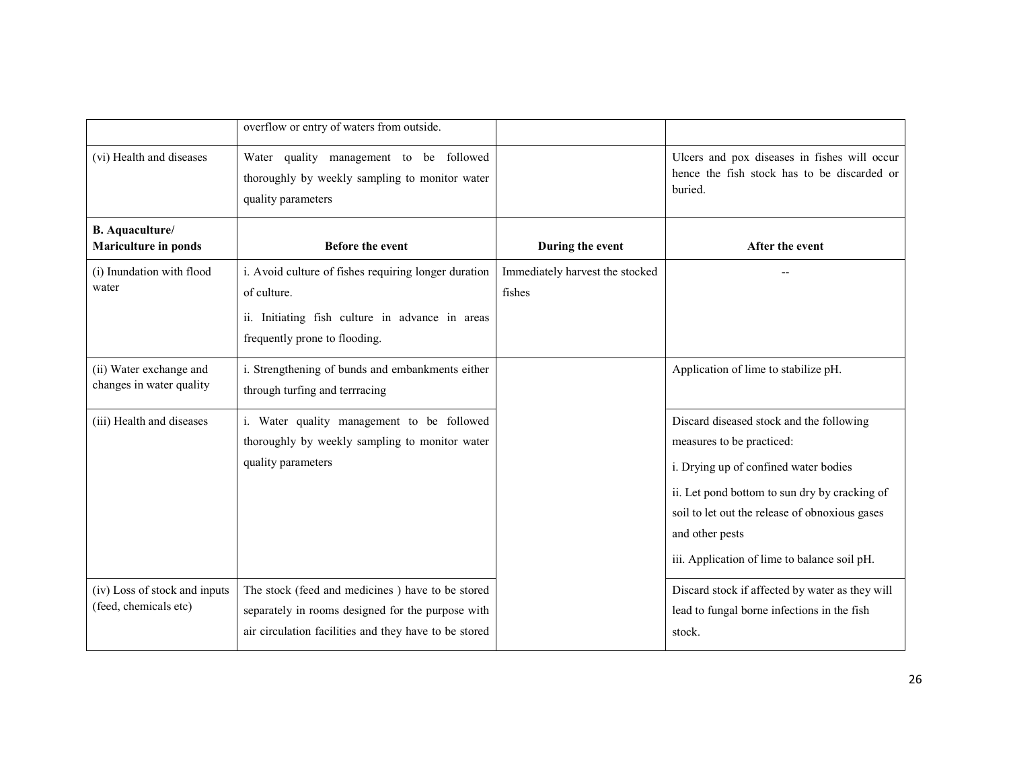|                                                        | overflow or entry of waters from outside.                                                                                                                      |                                           |                                                                                                                                                                                                                                                                                      |
|--------------------------------------------------------|----------------------------------------------------------------------------------------------------------------------------------------------------------------|-------------------------------------------|--------------------------------------------------------------------------------------------------------------------------------------------------------------------------------------------------------------------------------------------------------------------------------------|
| (vi) Health and diseases                               | Water quality management to be followed<br>thoroughly by weekly sampling to monitor water<br>quality parameters                                                |                                           | Ulcers and pox diseases in fishes will occur<br>hence the fish stock has to be discarded or<br>buried.                                                                                                                                                                               |
| <b>B.</b> Aquaculture/<br>Mariculture in ponds         | Before the event                                                                                                                                               | During the event                          | After the event                                                                                                                                                                                                                                                                      |
| (i) Inundation with flood<br>water                     | i. Avoid culture of fishes requiring longer duration<br>of culture.<br>ii. Initiating fish culture in advance in areas<br>frequently prone to flooding.        | Immediately harvest the stocked<br>fishes |                                                                                                                                                                                                                                                                                      |
| (ii) Water exchange and<br>changes in water quality    | i. Strengthening of bunds and embankments either<br>through turfing and terrracing                                                                             |                                           | Application of lime to stabilize pH.                                                                                                                                                                                                                                                 |
| (iii) Health and diseases                              | i. Water quality management to be followed<br>thoroughly by weekly sampling to monitor water<br>quality parameters                                             |                                           | Discard diseased stock and the following<br>measures to be practiced:<br>i. Drying up of confined water bodies<br>ii. Let pond bottom to sun dry by cracking of<br>soil to let out the release of obnoxious gases<br>and other pests<br>iii. Application of lime to balance soil pH. |
| (iv) Loss of stock and inputs<br>(feed, chemicals etc) | The stock (feed and medicines) have to be stored<br>separately in rooms designed for the purpose with<br>air circulation facilities and they have to be stored |                                           | Discard stock if affected by water as they will<br>lead to fungal borne infections in the fish<br>stock.                                                                                                                                                                             |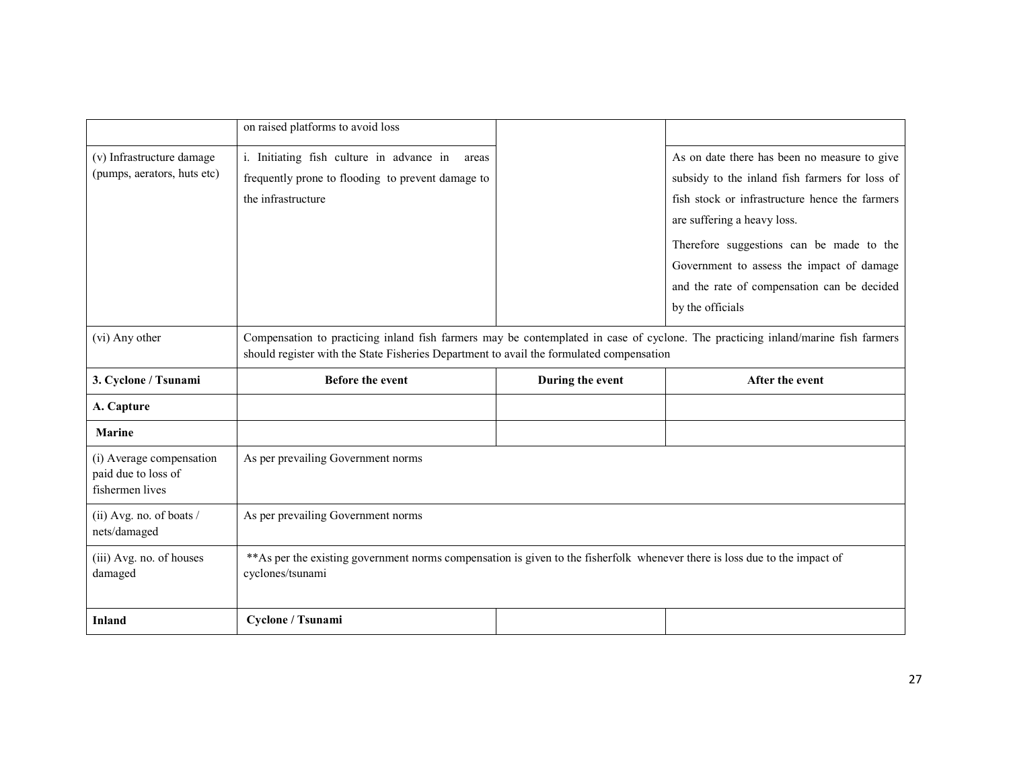|                                                                    | on raised platforms to avoid loss                                                                                                                                                                                            |                  |                                                |
|--------------------------------------------------------------------|------------------------------------------------------------------------------------------------------------------------------------------------------------------------------------------------------------------------------|------------------|------------------------------------------------|
| (v) Infrastructure damage                                          | i. Initiating fish culture in advance in<br>areas                                                                                                                                                                            |                  | As on date there has been no measure to give   |
| (pumps, aerators, huts etc)                                        | frequently prone to flooding to prevent damage to                                                                                                                                                                            |                  | subsidy to the inland fish farmers for loss of |
|                                                                    | the infrastructure                                                                                                                                                                                                           |                  | fish stock or infrastructure hence the farmers |
|                                                                    |                                                                                                                                                                                                                              |                  | are suffering a heavy loss.                    |
|                                                                    |                                                                                                                                                                                                                              |                  | Therefore suggestions can be made to the       |
|                                                                    |                                                                                                                                                                                                                              |                  | Government to assess the impact of damage      |
|                                                                    |                                                                                                                                                                                                                              |                  | and the rate of compensation can be decided    |
|                                                                    |                                                                                                                                                                                                                              |                  | by the officials                               |
| (vi) Any other                                                     | Compensation to practicing inland fish farmers may be contemplated in case of cyclone. The practicing inland/marine fish farmers<br>should register with the State Fisheries Department to avail the formulated compensation |                  |                                                |
| 3. Cyclone / Tsunami                                               | <b>Before the event</b>                                                                                                                                                                                                      | During the event | After the event                                |
| A. Capture                                                         |                                                                                                                                                                                                                              |                  |                                                |
| <b>Marine</b>                                                      |                                                                                                                                                                                                                              |                  |                                                |
| (i) Average compensation<br>paid due to loss of<br>fishermen lives | As per prevailing Government norms                                                                                                                                                                                           |                  |                                                |
| (ii) Avg. no. of boats $/$<br>nets/damaged                         | As per prevailing Government norms                                                                                                                                                                                           |                  |                                                |
| (iii) Avg. no. of houses<br>damaged                                | ** As per the existing government norms compensation is given to the fisherfolk whenever there is loss due to the impact of<br>cyclones/tsunami                                                                              |                  |                                                |
| Inland                                                             | Cyclone / Tsunami                                                                                                                                                                                                            |                  |                                                |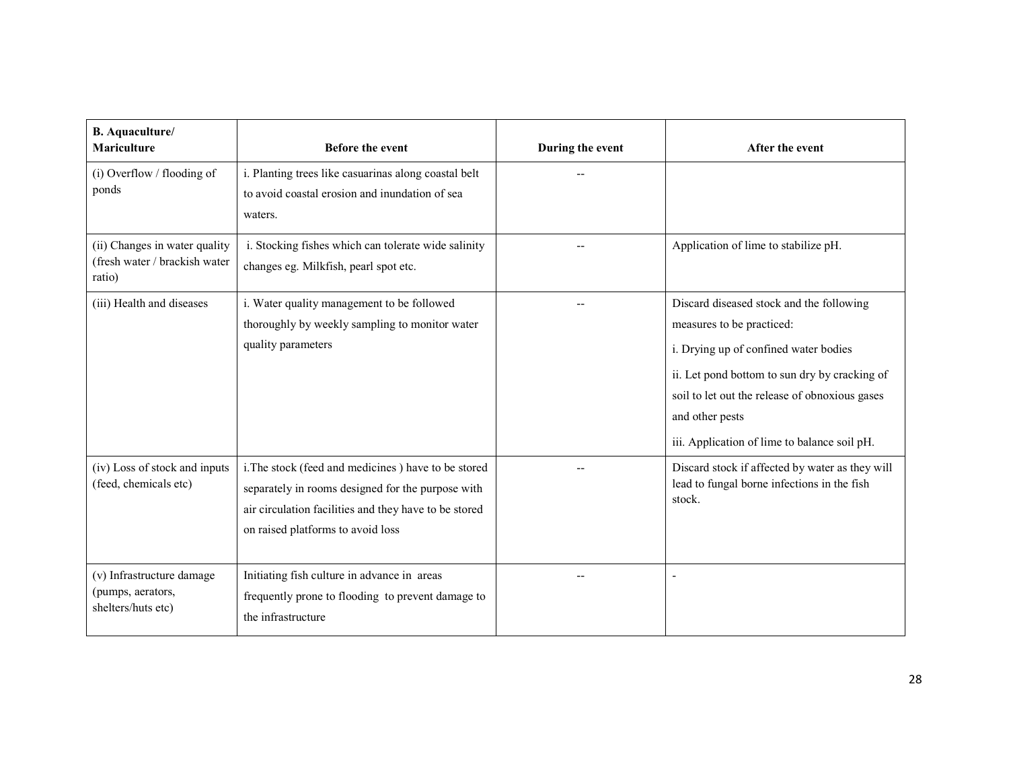| <b>B.</b> Aquaculture/<br><b>Mariculture</b>                             | <b>Before the event</b>                                                                                                                                                                                | During the event | After the event                                                                                                                                                                                                                                                                      |
|--------------------------------------------------------------------------|--------------------------------------------------------------------------------------------------------------------------------------------------------------------------------------------------------|------------------|--------------------------------------------------------------------------------------------------------------------------------------------------------------------------------------------------------------------------------------------------------------------------------------|
| (i) Overflow / flooding of<br>ponds                                      | i. Planting trees like casuarinas along coastal belt<br>to avoid coastal erosion and inundation of sea<br>waters.                                                                                      |                  |                                                                                                                                                                                                                                                                                      |
| (ii) Changes in water quality<br>(fresh water / brackish water<br>ratio) | i. Stocking fishes which can tolerate wide salinity<br>changes eg. Milkfish, pearl spot etc.                                                                                                           |                  | Application of lime to stabilize pH.                                                                                                                                                                                                                                                 |
| (iii) Health and diseases                                                | i. Water quality management to be followed<br>thoroughly by weekly sampling to monitor water<br>quality parameters                                                                                     |                  | Discard diseased stock and the following<br>measures to be practiced:<br>i. Drying up of confined water bodies<br>ii. Let pond bottom to sun dry by cracking of<br>soil to let out the release of obnoxious gases<br>and other pests<br>iii. Application of lime to balance soil pH. |
| (iv) Loss of stock and inputs<br>(feed, chemicals etc)                   | i. The stock (feed and medicines) have to be stored<br>separately in rooms designed for the purpose with<br>air circulation facilities and they have to be stored<br>on raised platforms to avoid loss |                  | Discard stock if affected by water as they will<br>lead to fungal borne infections in the fish<br>stock.                                                                                                                                                                             |
| (v) Infrastructure damage<br>(pumps, aerators,<br>shelters/huts etc)     | Initiating fish culture in advance in areas<br>frequently prone to flooding to prevent damage to<br>the infrastructure                                                                                 |                  |                                                                                                                                                                                                                                                                                      |